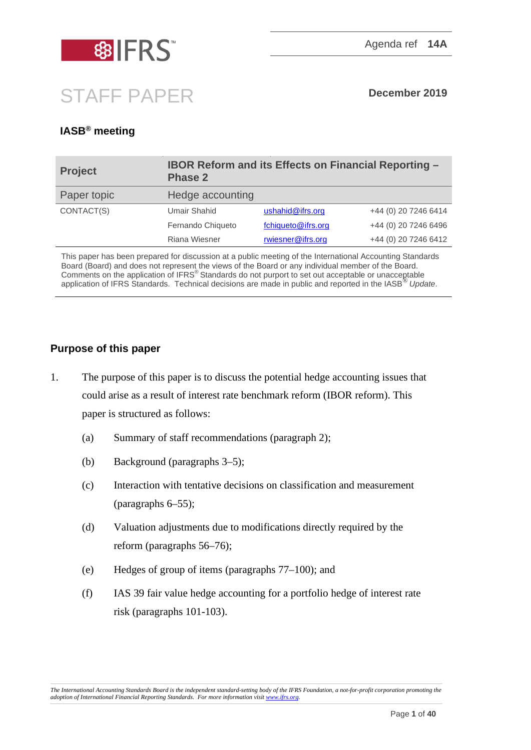

# STAFF PAPER **December 2019**

## **IASB® meeting**

| <b>Project</b> | <b>IBOR Reform and its Effects on Financial Reporting -</b><br><b>Phase 2</b> |                    |                      |
|----------------|-------------------------------------------------------------------------------|--------------------|----------------------|
| Paper topic    | Hedge accounting                                                              |                    |                      |
| CONTACT(S)     | <b>Umair Shahid</b>                                                           | ushahid@ifrs.org   | +44 (0) 20 7246 6414 |
|                | Fernando Chiqueto                                                             | fchiqueto@ifrs.org | +44 (0) 20 7246 6496 |
|                | Riana Wiesner                                                                 | rwiesner@ifrs.org  | +44 (0) 20 7246 6412 |

This paper has been prepared for discussion at a public meeting of the International Accounting Standards Board (Board) and does not represent the views of the Board or any individual member of the Board. Comments on the application of IFRS® Standards do not purport to set out acceptable or unacceptable application of IFRS Standards. Technical decisions are made in public and reported in the IASB® *Update*.

### **Purpose of this paper**

- 1. The purpose of this paper is to discuss the potential hedge accounting issues that could arise as a result of interest rate benchmark reform (IBOR reform). This paper is structured as follows:
	- (a) Summary of staff recommendations (paragraph [2\)](#page-1-0);
	- (b) Background (paragraphs [3–](#page-2-0)[5\)](#page-3-0);
	- (c) Interaction with tentative decisions on classification and measurement (paragraphs [6–](#page-3-1)55);
	- (d) Valuation adjustments due to modifications directly required by the reform (paragraphs [56–](#page-23-0)[76\)](#page-29-0);
	- (e) Hedges of group of items (paragraphs [77](#page-30-0)[–100\)](#page-37-0); and
	- (f) IAS 39 fair value hedge accounting for a portfolio hedge of interest rate risk (paragraphs [101](#page-38-0)[-103\)](#page-38-1).

*The International Accounting Standards Board is the independent standard-setting body of the IFRS Foundation, a not-for-profit corporation promoting the adoption of International Financial Reporting Standards. For more information visi[t www.ifrs.org.](http://www.ifrs.org/)*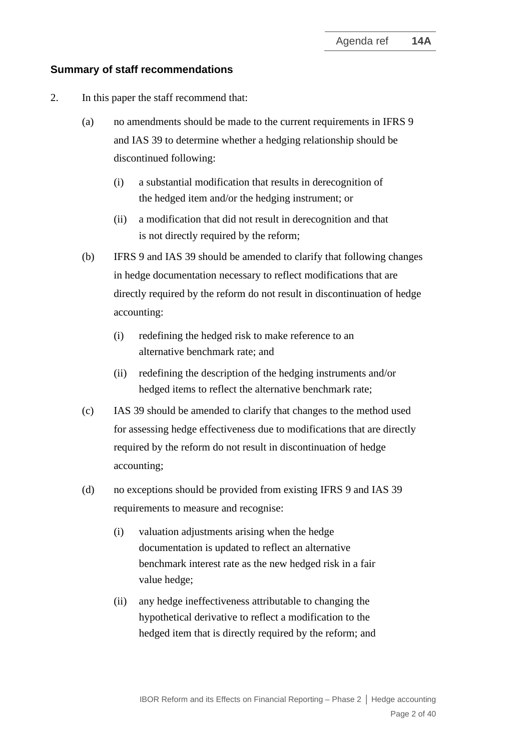#### **Summary of staff recommendations**

- <span id="page-1-0"></span>2. In this paper the staff recommend that:
	- (a) no amendments should be made to the current requirements in IFRS 9 and IAS 39 to determine whether a hedging relationship should be discontinued following:
		- (i) a substantial modification that results in derecognition of the hedged item and/or the hedging instrument; or
		- (ii) a modification that did not result in derecognition and that is not directly required by the reform;
	- (b) IFRS 9 and IAS 39 should be amended to clarify that following changes in hedge documentation necessary to reflect modifications that are directly required by the reform do not result in discontinuation of hedge accounting:
		- (i) redefining the hedged risk to make reference to an alternative benchmark rate; and
		- (ii) redefining the description of the hedging instruments and/or hedged items to reflect the alternative benchmark rate;
	- (c) IAS 39 should be amended to clarify that changes to the method used for assessing hedge effectiveness due to modifications that are directly required by the reform do not result in discontinuation of hedge accounting;
	- (d) no exceptions should be provided from existing IFRS 9 and IAS 39 requirements to measure and recognise:
		- (i) valuation adjustments arising when the hedge documentation is updated to reflect an alternative benchmark interest rate as the new hedged risk in a fair value hedge;
		- (ii) any hedge ineffectiveness attributable to changing the hypothetical derivative to reflect a modification to the hedged item that is directly required by the reform; and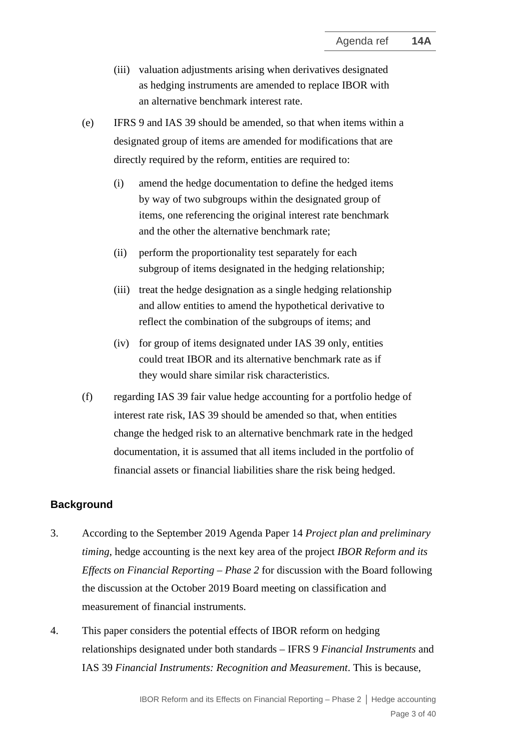- (iii) valuation adjustments arising when derivatives designated as hedging instruments are amended to replace IBOR with an alternative benchmark interest rate.
- (e) IFRS 9 and IAS 39 should be amended, so that when items within a designated group of items are amended for modifications that are directly required by the reform, entities are required to:
	- (i) amend the hedge documentation to define the hedged items by way of two subgroups within the designated group of items, one referencing the original interest rate benchmark and the other the alternative benchmark rate;
	- (ii) perform the proportionality test separately for each subgroup of items designated in the hedging relationship;
	- (iii) treat the hedge designation as a single hedging relationship and allow entities to amend the hypothetical derivative to reflect the combination of the subgroups of items; and
	- (iv) for group of items designated under IAS 39 only, entities could treat IBOR and its alternative benchmark rate as if they would share similar risk characteristics.
- (f) regarding IAS 39 fair value hedge accounting for a portfolio hedge of interest rate risk, IAS 39 should be amended so that, when entities change the hedged risk to an alternative benchmark rate in the hedged documentation, it is assumed that all items included in the portfolio of financial assets or financial liabilities share the risk being hedged.

#### **Background**

- <span id="page-2-0"></span>3. According to the September 2019 Agenda Paper 14 *Project plan and preliminary timing*, hedge accounting is the next key area of the project *IBOR Reform and its Effects on Financial Reporting – Phase 2* for discussion with the Board following the discussion at the October 2019 Board meeting on classification and measurement of financial instruments.
- 4. This paper considers the potential effects of IBOR reform on hedging relationships designated under both standards – IFRS 9 *Financial Instruments* and IAS 39 *Financial Instruments: Recognition and Measurement*. This is because,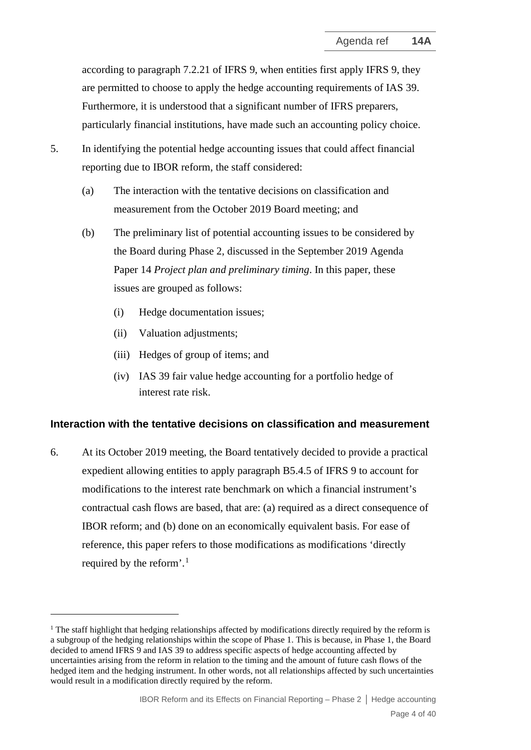according to paragraph 7.2.21 of IFRS 9, when entities first apply IFRS 9, they are permitted to choose to apply the hedge accounting requirements of IAS 39. Furthermore, it is understood that a significant number of IFRS preparers, particularly financial institutions, have made such an accounting policy choice.

- <span id="page-3-0"></span>5. In identifying the potential hedge accounting issues that could affect financial reporting due to IBOR reform, the staff considered:
	- (a) The interaction with the tentative decisions on classification and measurement from the October 2019 Board meeting; and
	- (b) The preliminary list of potential accounting issues to be considered by the Board during Phase 2, discussed in the September 2019 Agenda Paper 14 *Project plan and preliminary timing*. In this paper, these issues are grouped as follows:
		- (i) Hedge documentation issues;
		- (ii) Valuation adjustments;
		- (iii) Hedges of group of items; and
		- (iv) IAS 39 fair value hedge accounting for a portfolio hedge of interest rate risk.

#### **Interaction with the tentative decisions on classification and measurement**

<span id="page-3-1"></span>6. At its October 2019 meeting, the Board tentatively decided to provide a practical expedient allowing entities to apply paragraph B5.4.5 of IFRS 9 to account for modifications to the interest rate benchmark on which a financial instrument's contractual cash flows are based, that are: (a) required as a direct consequence of IBOR reform; and (b) done on an economically equivalent basis. For ease of reference, this paper refers to those modifications as modifications 'directly required by the reform'. [1](#page-3-2)

<span id="page-3-2"></span> $1$  The staff highlight that hedging relationships affected by modifications directly required by the reform is a subgroup of the hedging relationships within the scope of Phase 1. This is because, in Phase 1, the Board decided to amend IFRS 9 and IAS 39 to address specific aspects of hedge accounting affected by uncertainties arising from the reform in relation to the timing and the amount of future cash flows of the hedged item and the hedging instrument. In other words, not all relationships affected by such uncertainties would result in a modification directly required by the reform.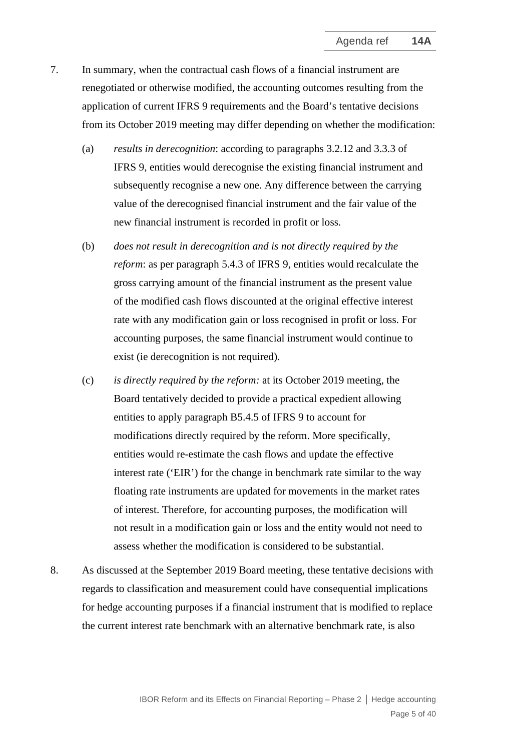- <span id="page-4-0"></span>7. In summary, when the contractual cash flows of a financial instrument are renegotiated or otherwise modified, the accounting outcomes resulting from the application of current IFRS 9 requirements and the Board's tentative decisions from its October 2019 meeting may differ depending on whether the modification:
	- (a) *results in derecognition*: according to paragraphs 3.2.12 and 3.3.3 of IFRS 9, entities would derecognise the existing financial instrument and subsequently recognise a new one. Any difference between the carrying value of the derecognised financial instrument and the fair value of the new financial instrument is recorded in profit or loss.
	- (b) *does not result in derecognition and is not directly required by the reform*: as per paragraph 5.4.3 of IFRS 9, entities would recalculate the gross carrying amount of the financial instrument as the present value of the modified cash flows discounted at the original effective interest rate with any modification gain or loss recognised in profit or loss. For accounting purposes, the same financial instrument would continue to exist (ie derecognition is not required).
	- (c) *is directly required by the reform:* at its October 2019 meeting, the Board tentatively decided to provide a practical expedient allowing entities to apply paragraph B5.4.5 of IFRS 9 to account for modifications directly required by the reform. More specifically, entities would re-estimate the cash flows and update the effective interest rate ('EIR') for the change in benchmark rate similar to the way floating rate instruments are updated for movements in the market rates of interest. Therefore, for accounting purposes, the modification will not result in a modification gain or loss and the entity would not need to assess whether the modification is considered to be substantial.
- 8. As discussed at the September 2019 Board meeting, these tentative decisions with regards to classification and measurement could have consequential implications for hedge accounting purposes if a financial instrument that is modified to replace the current interest rate benchmark with an alternative benchmark rate, is also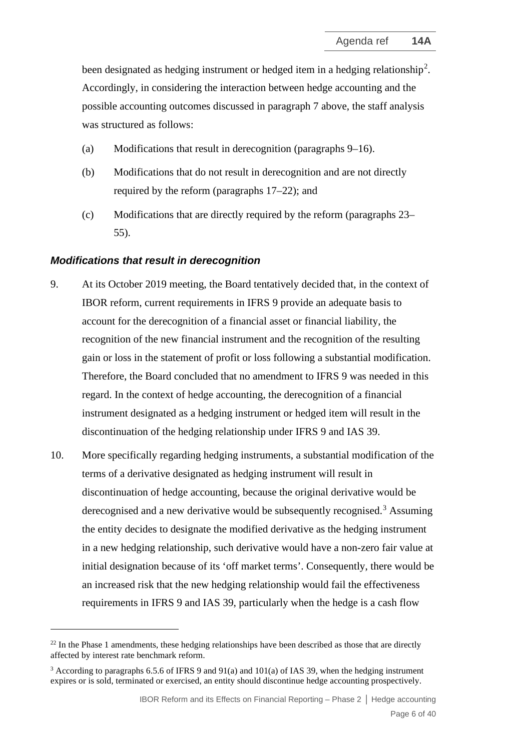been designated as hedging instrument or hedged item in a hedging relationship<sup>[2](#page-5-1)</sup>. Accordingly, in considering the interaction between hedge accounting and the possible accounting outcomes discussed in paragraph [7](#page-4-0) above, the staff analysis was structured as follows:

- (a) Modifications that result in derecognition (paragraphs [9](#page-5-0)[–16\)](#page-7-0).
- (b) Modifications that do not result in derecognition and are not directly required by the reform (paragraphs [17–](#page-8-0)[22\)](#page-9-0); and
- (c) Modifications that are directly required by the reform (paragraphs [23–](#page-9-1) 55).

#### *Modifications that result in derecognition*

- <span id="page-5-0"></span>9. At its October 2019 meeting, the Board tentatively decided that, in the context of IBOR reform, current requirements in IFRS 9 provide an adequate basis to account for the derecognition of a financial asset or financial liability, the recognition of the new financial instrument and the recognition of the resulting gain or loss in the statement of profit or loss following a substantial modification. Therefore, the Board concluded that no amendment to IFRS 9 was needed in this regard. In the context of hedge accounting, the derecognition of a financial instrument designated as a hedging instrument or hedged item will result in the discontinuation of the hedging relationship under IFRS 9 and IAS 39.
- 10. More specifically regarding hedging instruments, a substantial modification of the terms of a derivative designated as hedging instrument will result in discontinuation of hedge accounting, because the original derivative would be derecognised and a new derivative would be subsequently recognised.<sup>[3](#page-5-2)</sup> Assuming the entity decides to designate the modified derivative as the hedging instrument in a new hedging relationship, such derivative would have a non-zero fair value at initial designation because of its 'off market terms'. Consequently, there would be an increased risk that the new hedging relationship would fail the effectiveness requirements in IFRS 9 and IAS 39, particularly when the hedge is a cash flow

<span id="page-5-1"></span> $22$  In the Phase 1 amendments, these hedging relationships have been described as those that are directly affected by interest rate benchmark reform.

<span id="page-5-2"></span><sup>&</sup>lt;sup>3</sup> According to paragraphs 6.5.6 of IFRS 9 and 91(a) and 101(a) of IAS 39, when the hedging instrument expires or is sold, terminated or exercised, an entity should discontinue hedge accounting prospectively.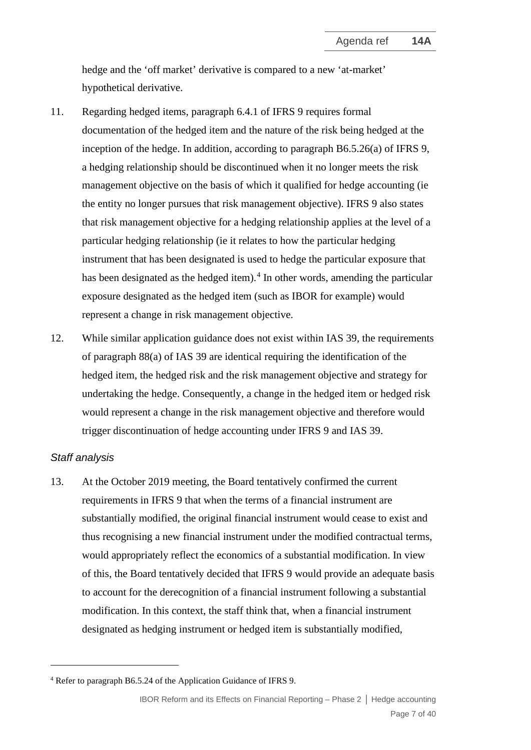hedge and the 'off market' derivative is compared to a new 'at-market' hypothetical derivative.

- 11. Regarding hedged items, paragraph 6.4.1 of IFRS 9 requires formal documentation of the hedged item and the nature of the risk being hedged at the inception of the hedge. In addition, according to paragraph B6.5.26(a) of IFRS 9, a hedging relationship should be discontinued when it no longer meets the risk management objective on the basis of which it qualified for hedge accounting (ie the entity no longer pursues that risk management objective). IFRS 9 also states that risk management objective for a hedging relationship applies at the level of a particular hedging relationship (ie it relates to how the particular hedging instrument that has been designated is used to hedge the particular exposure that has been designated as the hedged item).<sup>[4](#page-6-0)</sup> In other words, amending the particular exposure designated as the hedged item (such as IBOR for example) would represent a change in risk management objective.
- 12. While similar application guidance does not exist within IAS 39, the requirements of paragraph 88(a) of IAS 39 are identical requiring the identification of the hedged item, the hedged risk and the risk management objective and strategy for undertaking the hedge. Consequently, a change in the hedged item or hedged risk would represent a change in the risk management objective and therefore would trigger discontinuation of hedge accounting under IFRS 9 and IAS 39.

#### *Staff analysis*

13. At the October 2019 meeting, the Board tentatively confirmed the current requirements in IFRS 9 that when the terms of a financial instrument are substantially modified, the original financial instrument would cease to exist and thus recognising a new financial instrument under the modified contractual terms, would appropriately reflect the economics of a substantial modification. In view of this, the Board tentatively decided that IFRS 9 would provide an adequate basis to account for the derecognition of a financial instrument following a substantial modification. In this context, the staff think that, when a financial instrument designated as hedging instrument or hedged item is substantially modified,

<span id="page-6-0"></span><sup>4</sup> Refer to paragraph B6.5.24 of the Application Guidance of IFRS 9.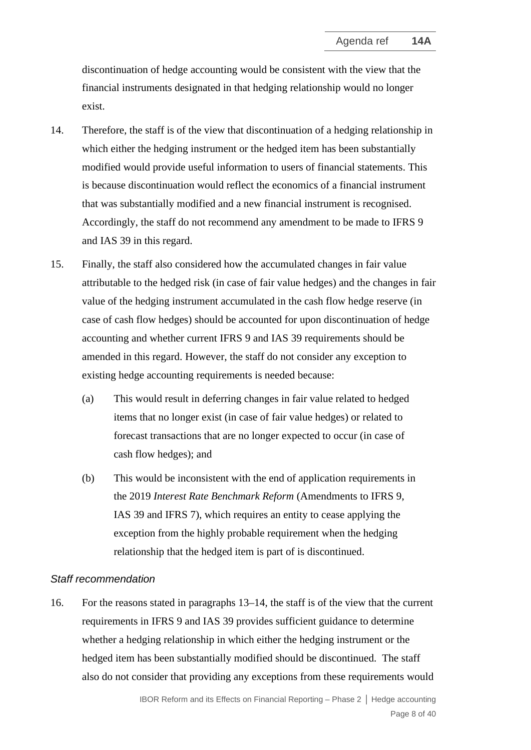discontinuation of hedge accounting would be consistent with the view that the financial instruments designated in that hedging relationship would no longer exist.

- 14. Therefore, the staff is of the view that discontinuation of a hedging relationship in which either the hedging instrument or the hedged item has been substantially modified would provide useful information to users of financial statements. This is because discontinuation would reflect the economics of a financial instrument that was substantially modified and a new financial instrument is recognised. Accordingly, the staff do not recommend any amendment to be made to IFRS 9 and IAS 39 in this regard.
- 15. Finally, the staff also considered how the accumulated changes in fair value attributable to the hedged risk (in case of fair value hedges) and the changes in fair value of the hedging instrument accumulated in the cash flow hedge reserve (in case of cash flow hedges) should be accounted for upon discontinuation of hedge accounting and whether current IFRS 9 and IAS 39 requirements should be amended in this regard. However, the staff do not consider any exception to existing hedge accounting requirements is needed because:
	- (a) This would result in deferring changes in fair value related to hedged items that no longer exist (in case of fair value hedges) or related to forecast transactions that are no longer expected to occur (in case of cash flow hedges); and
	- (b) This would be inconsistent with the end of application requirements in the 2019 *Interest Rate Benchmark Reform* (Amendments to IFRS 9, IAS 39 and IFRS 7), which requires an entity to cease applying the exception from the highly probable requirement when the hedging relationship that the hedged item is part of is discontinued.

#### *Staff recommendation*

<span id="page-7-0"></span>16. For the reasons stated in paragraphs 13–14, the staff is of the view that the current requirements in IFRS 9 and IAS 39 provides sufficient guidance to determine whether a hedging relationship in which either the hedging instrument or the hedged item has been substantially modified should be discontinued. The staff also do not consider that providing any exceptions from these requirements would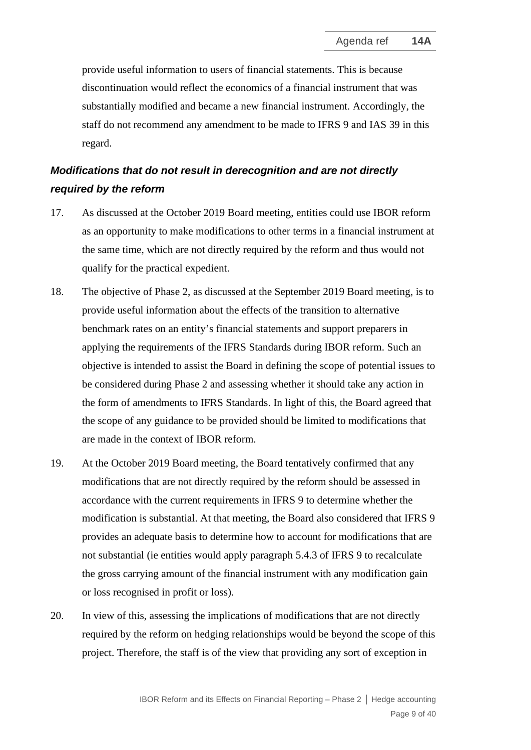provide useful information to users of financial statements. This is because discontinuation would reflect the economics of a financial instrument that was substantially modified and became a new financial instrument. Accordingly, the staff do not recommend any amendment to be made to IFRS 9 and IAS 39 in this regard.

# *Modifications that do not result in derecognition and are not directly required by the reform*

- <span id="page-8-0"></span>17. As discussed at the October 2019 Board meeting, entities could use IBOR reform as an opportunity to make modifications to other terms in a financial instrument at the same time, which are not directly required by the reform and thus would not qualify for the practical expedient.
- 18. The objective of Phase 2, as discussed at the September 2019 Board meeting, is to provide useful information about the effects of the transition to alternative benchmark rates on an entity's financial statements and support preparers in applying the requirements of the IFRS Standards during IBOR reform. Such an objective is intended to assist the Board in defining the scope of potential issues to be considered during Phase 2 and assessing whether it should take any action in the form of amendments to IFRS Standards. In light of this, the Board agreed that the scope of any guidance to be provided should be limited to modifications that are made in the context of IBOR reform.
- 19. At the October 2019 Board meeting, the Board tentatively confirmed that any modifications that are not directly required by the reform should be assessed in accordance with the current requirements in IFRS 9 to determine whether the modification is substantial. At that meeting, the Board also considered that IFRS 9 provides an adequate basis to determine how to account for modifications that are not substantial (ie entities would apply paragraph 5.4.3 of IFRS 9 to recalculate the gross carrying amount of the financial instrument with any modification gain or loss recognised in profit or loss).
- 20. In view of this, assessing the implications of modifications that are not directly required by the reform on hedging relationships would be beyond the scope of this project. Therefore, the staff is of the view that providing any sort of exception in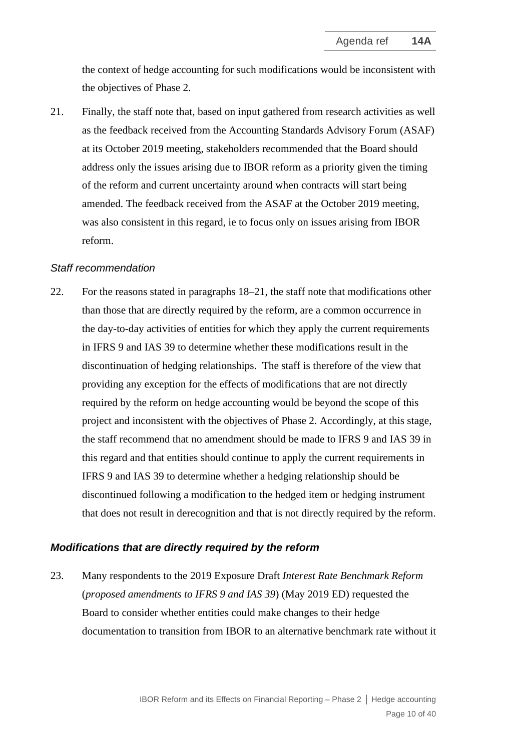the context of hedge accounting for such modifications would be inconsistent with the objectives of Phase 2.

21. Finally, the staff note that, based on input gathered from research activities as well as the feedback received from the Accounting Standards Advisory Forum (ASAF) at its October 2019 meeting, stakeholders recommended that the Board should address only the issues arising due to IBOR reform as a priority given the timing of the reform and current uncertainty around when contracts will start being amended. The feedback received from the ASAF at the October 2019 meeting, was also consistent in this regard, ie to focus only on issues arising from IBOR reform.

#### *Staff recommendation*

<span id="page-9-0"></span>22. For the reasons stated in paragraphs 18–21, the staff note that modifications other than those that are directly required by the reform, are a common occurrence in the day-to-day activities of entities for which they apply the current requirements in IFRS 9 and IAS 39 to determine whether these modifications result in the discontinuation of hedging relationships. The staff is therefore of the view that providing any exception for the effects of modifications that are not directly required by the reform on hedge accounting would be beyond the scope of this project and inconsistent with the objectives of Phase 2. Accordingly, at this stage, the staff recommend that no amendment should be made to IFRS 9 and IAS 39 in this regard and that entities should continue to apply the current requirements in IFRS 9 and IAS 39 to determine whether a hedging relationship should be discontinued following a modification to the hedged item or hedging instrument that does not result in derecognition and that is not directly required by the reform.

#### *Modifications that are directly required by the reform*

<span id="page-9-1"></span>23. Many respondents to the 2019 Exposure Draft *Interest Rate Benchmark Reform*  (*proposed amendments to IFRS 9 and IAS 39*) (May 2019 ED) requested the Board to consider whether entities could make changes to their hedge documentation to transition from IBOR to an alternative benchmark rate without it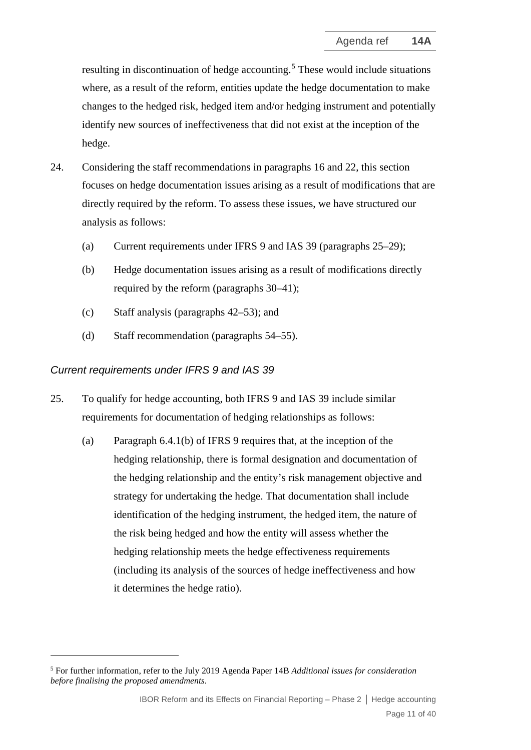resulting in discontinuation of hedge accounting.<sup>[5](#page-10-1)</sup> These would include situations where, as a result of the reform, entities update the hedge documentation to make changes to the hedged risk, hedged item and/or hedging instrument and potentially identify new sources of ineffectiveness that did not exist at the inception of the hedge.

- 24. Considering the staff recommendations in paragraphs 16 and 22, this section focuses on hedge documentation issues arising as a result of modifications that are directly required by the reform. To assess these issues, we have structured our analysis as follows:
	- (a) Current requirements under IFRS 9 and IAS 39 (paragraphs [25–](#page-10-0)29);
	- (b) Hedge documentation issues arising as a result of modifications directly required by the reform (paragraphs 30–41);
	- (c) Staff analysis (paragraphs 42–53); and
	- (d) Staff recommendation (paragraphs 54–55).

#### *Current requirements under IFRS 9 and IAS 39*

- <span id="page-10-0"></span>25. To qualify for hedge accounting, both IFRS 9 and IAS 39 include similar requirements for documentation of hedging relationships as follows:
	- (a) Paragraph 6.4.1(b) of IFRS 9 requires that, at the inception of the hedging relationship, there is formal designation and documentation of the hedging relationship and the entity's risk management objective and strategy for undertaking the hedge. That documentation shall include identification of the hedging instrument, the hedged item, the nature of the risk being hedged and how the entity will assess whether the hedging relationship meets the hedge effectiveness requirements (including its analysis of the sources of hedge ineffectiveness and how it determines the hedge ratio).

<span id="page-10-1"></span><sup>5</sup> For further information, refer to the July 2019 Agenda Paper 14B *Additional issues for consideration before finalising the proposed amendments*.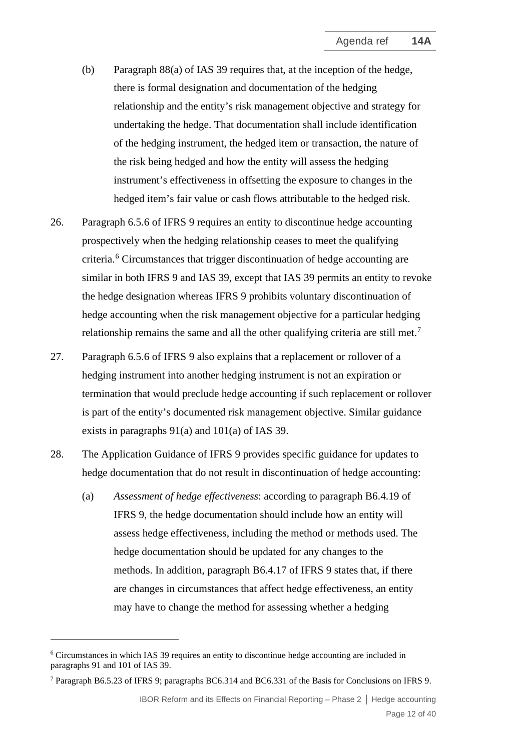- (b) Paragraph 88(a) of IAS 39 requires that, at the inception of the hedge, there is formal designation and documentation of the hedging relationship and the entity's risk management objective and strategy for undertaking the hedge. That documentation shall include identification of the hedging instrument, the hedged item or transaction, the nature of the risk being hedged and how the entity will assess the hedging instrument's effectiveness in offsetting the exposure to changes in the hedged item's fair value or cash flows attributable to the hedged risk.
- 26. Paragraph 6.5.6 of IFRS 9 requires an entity to discontinue hedge accounting prospectively when the hedging relationship ceases to meet the qualifying criteria. [6](#page-11-0) Circumstances that trigger discontinuation of hedge accounting are similar in both IFRS 9 and IAS 39, except that IAS 39 permits an entity to revoke the hedge designation whereas IFRS 9 prohibits voluntary discontinuation of hedge accounting when the risk management objective for a particular hedging relationship remains the same and all the other qualifying criteria are still met.<sup>[7](#page-11-1)</sup>
- 27. Paragraph 6.5.6 of IFRS 9 also explains that a replacement or rollover of a hedging instrument into another hedging instrument is not an expiration or termination that would preclude hedge accounting if such replacement or rollover is part of the entity's documented risk management objective. Similar guidance exists in paragraphs 91(a) and 101(a) of IAS 39.
- 28. The Application Guidance of IFRS 9 provides specific guidance for updates to hedge documentation that do not result in discontinuation of hedge accounting:
	- (a) *Assessment of hedge effectiveness*: according to paragraph B6.4.19 of IFRS 9, the hedge documentation should include how an entity will assess hedge effectiveness, including the method or methods used. The hedge documentation should be updated for any changes to the methods. In addition, paragraph B6.4.17 of IFRS 9 states that, if there are changes in circumstances that affect hedge effectiveness, an entity may have to change the method for assessing whether a hedging

IBOR Reform and its Effects on Financial Reporting – Phase 2 **│** Hedge accounting Page 12 of 40

<span id="page-11-0"></span><sup>6</sup> Circumstances in which IAS 39 requires an entity to discontinue hedge accounting are included in paragraphs 91 and 101 of IAS 39.

<span id="page-11-1"></span><sup>7</sup> Paragraph B6.5.23 of IFRS 9; paragraphs BC6.314 and BC6.331 of the Basis for Conclusions on IFRS 9.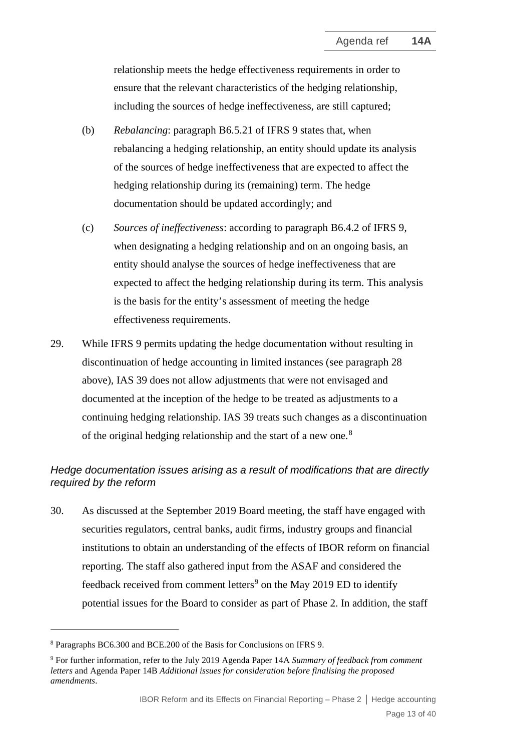relationship meets the hedge effectiveness requirements in order to ensure that the relevant characteristics of the hedging relationship, including the sources of hedge ineffectiveness, are still captured;

- (b) *Rebalancing*: paragraph B6.5.21 of IFRS 9 states that, when rebalancing a hedging relationship, an entity should update its analysis of the sources of hedge ineffectiveness that are expected to affect the hedging relationship during its (remaining) term. The hedge documentation should be updated accordingly; and
- (c) *Sources of ineffectiveness*: according to paragraph B6.4.2 of IFRS 9, when designating a hedging relationship and on an ongoing basis, an entity should analyse the sources of hedge ineffectiveness that are expected to affect the hedging relationship during its term. This analysis is the basis for the entity's assessment of meeting the hedge effectiveness requirements.
- 29. While IFRS 9 permits updating the hedge documentation without resulting in discontinuation of hedge accounting in limited instances (see paragraph 28 above), IAS 39 does not allow adjustments that were not envisaged and documented at the inception of the hedge to be treated as adjustments to a continuing hedging relationship. IAS 39 treats such changes as a discontinuation of the original hedging relationship and the start of a new one.<sup>[8](#page-12-0)</sup>

### *Hedge documentation issues arising as a result of modifications that are directly required by the reform*

30. As discussed at the September 2019 Board meeting, the staff have engaged with securities regulators, central banks, audit firms, industry groups and financial institutions to obtain an understanding of the effects of IBOR reform on financial reporting. The staff also gathered input from the ASAF and considered the feedback received from comment letters<sup>[9](#page-12-1)</sup> on the May 2019 ED to identify potential issues for the Board to consider as part of Phase 2. In addition, the staff

<span id="page-12-0"></span><sup>8</sup> Paragraphs BC6.300 and BCE.200 of the Basis for Conclusions on IFRS 9.

<span id="page-12-1"></span><sup>9</sup> For further information, refer to the July 2019 Agenda Paper 14A *Summary of feedback from comment letters* and Agenda Paper 14B *Additional issues for consideration before finalising the proposed amendments*.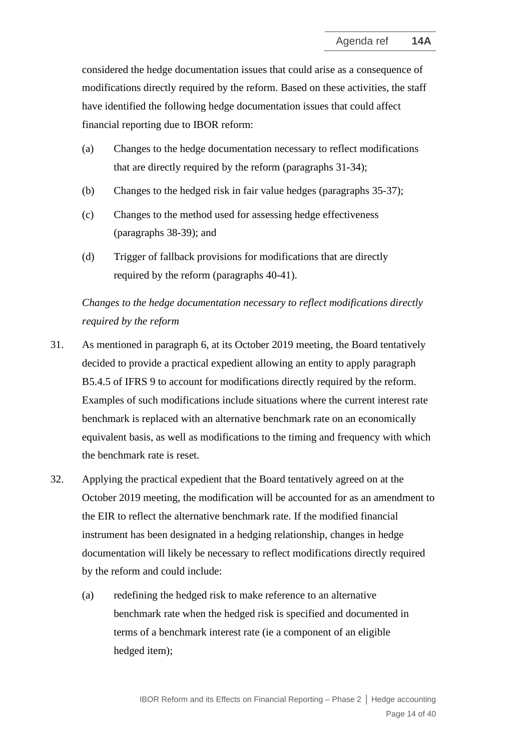considered the hedge documentation issues that could arise as a consequence of modifications directly required by the reform. Based on these activities, the staff have identified the following hedge documentation issues that could affect financial reporting due to IBOR reform:

- (a) Changes to the hedge documentation necessary to reflect modifications that are directly required by the reform (paragraphs 31-34);
- (b) Changes to the hedged risk in fair value hedges (paragraphs 35-37);
- (c) Changes to the method used for assessing hedge effectiveness (paragraphs 38-39); and
- (d) Trigger of fallback provisions for modifications that are directly required by the reform (paragraphs 40-41).

# *Changes to the hedge documentation necessary to reflect modifications directly required by the reform*

- 31. As mentioned in paragraph 6, at its October 2019 meeting, the Board tentatively decided to provide a practical expedient allowing an entity to apply paragraph B5.4.5 of IFRS 9 to account for modifications directly required by the reform. Examples of such modifications include situations where the current interest rate benchmark is replaced with an alternative benchmark rate on an economically equivalent basis, as well as modifications to the timing and frequency with which the benchmark rate is reset.
- 32. Applying the practical expedient that the Board tentatively agreed on at the October 2019 meeting, the modification will be accounted for as an amendment to the EIR to reflect the alternative benchmark rate. If the modified financial instrument has been designated in a hedging relationship, changes in hedge documentation will likely be necessary to reflect modifications directly required by the reform and could include:
	- (a) redefining the hedged risk to make reference to an alternative benchmark rate when the hedged risk is specified and documented in terms of a benchmark interest rate (ie a component of an eligible hedged item);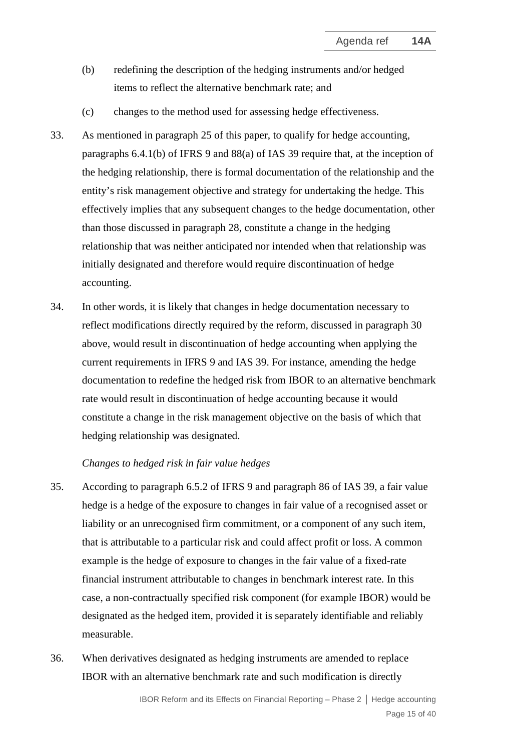- (b) redefining the description of the hedging instruments and/or hedged items to reflect the alternative benchmark rate; and
- (c) changes to the method used for assessing hedge effectiveness.
- 33. As mentioned in paragraph 25 of this paper, to qualify for hedge accounting, paragraphs 6.4.1(b) of IFRS 9 and 88(a) of IAS 39 require that, at the inception of the hedging relationship, there is formal documentation of the relationship and the entity's risk management objective and strategy for undertaking the hedge. This effectively implies that any subsequent changes to the hedge documentation, other than those discussed in paragraph 28, constitute a change in the hedging relationship that was neither anticipated nor intended when that relationship was initially designated and therefore would require discontinuation of hedge accounting.
- 34. In other words, it is likely that changes in hedge documentation necessary to reflect modifications directly required by the reform, discussed in paragraph 30 above, would result in discontinuation of hedge accounting when applying the current requirements in IFRS 9 and IAS 39. For instance, amending the hedge documentation to redefine the hedged risk from IBOR to an alternative benchmark rate would result in discontinuation of hedge accounting because it would constitute a change in the risk management objective on the basis of which that hedging relationship was designated.

#### *Changes to hedged risk in fair value hedges*

- 35. According to paragraph 6.5.2 of IFRS 9 and paragraph 86 of IAS 39, a fair value hedge is a hedge of the exposure to changes in fair value of a recognised asset or liability or an unrecognised firm commitment, or a component of any such item, that is attributable to a particular risk and could affect profit or loss. A common example is the hedge of exposure to changes in the fair value of a fixed-rate financial instrument attributable to changes in benchmark interest rate. In this case, a non-contractually specified risk component (for example IBOR) would be designated as the hedged item, provided it is separately identifiable and reliably measurable.
- 36. When derivatives designated as hedging instruments are amended to replace IBOR with an alternative benchmark rate and such modification is directly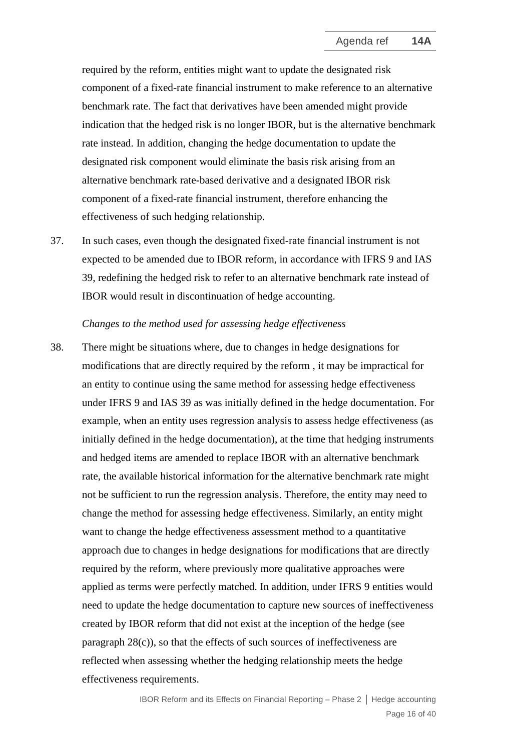required by the reform, entities might want to update the designated risk component of a fixed-rate financial instrument to make reference to an alternative benchmark rate. The fact that derivatives have been amended might provide indication that the hedged risk is no longer IBOR, but is the alternative benchmark rate instead. In addition, changing the hedge documentation to update the designated risk component would eliminate the basis risk arising from an alternative benchmark rate-based derivative and a designated IBOR risk component of a fixed-rate financial instrument, therefore enhancing the effectiveness of such hedging relationship.

37. In such cases, even though the designated fixed-rate financial instrument is not expected to be amended due to IBOR reform, in accordance with IFRS 9 and IAS 39, redefining the hedged risk to refer to an alternative benchmark rate instead of IBOR would result in discontinuation of hedge accounting.

#### *Changes to the method used for assessing hedge effectiveness*

38. There might be situations where, due to changes in hedge designations for modifications that are directly required by the reform , it may be impractical for an entity to continue using the same method for assessing hedge effectiveness under IFRS 9 and IAS 39 as was initially defined in the hedge documentation. For example, when an entity uses regression analysis to assess hedge effectiveness (as initially defined in the hedge documentation), at the time that hedging instruments and hedged items are amended to replace IBOR with an alternative benchmark rate, the available historical information for the alternative benchmark rate might not be sufficient to run the regression analysis. Therefore, the entity may need to change the method for assessing hedge effectiveness. Similarly, an entity might want to change the hedge effectiveness assessment method to a quantitative approach due to changes in hedge designations for modifications that are directly required by the reform, where previously more qualitative approaches were applied as terms were perfectly matched. In addition, under IFRS 9 entities would need to update the hedge documentation to capture new sources of ineffectiveness created by IBOR reform that did not exist at the inception of the hedge (see paragraph  $28(c)$ ), so that the effects of such sources of ineffectiveness are reflected when assessing whether the hedging relationship meets the hedge effectiveness requirements.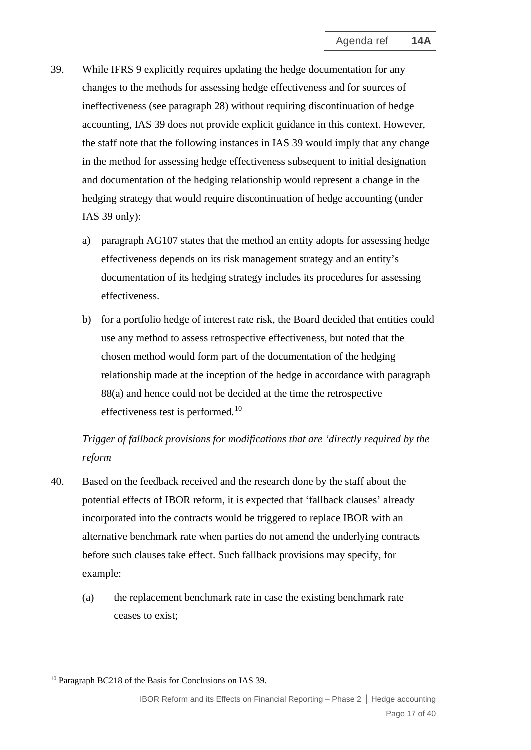- 39. While IFRS 9 explicitly requires updating the hedge documentation for any changes to the methods for assessing hedge effectiveness and for sources of ineffectiveness (see paragraph 28) without requiring discontinuation of hedge accounting, IAS 39 does not provide explicit guidance in this context. However, the staff note that the following instances in IAS 39 would imply that any change in the method for assessing hedge effectiveness subsequent to initial designation and documentation of the hedging relationship would represent a change in the hedging strategy that would require discontinuation of hedge accounting (under IAS 39 only):
	- a) paragraph AG107 states that the method an entity adopts for assessing hedge effectiveness depends on its risk management strategy and an entity's documentation of its hedging strategy includes its procedures for assessing effectiveness.
	- b) for a portfolio hedge of interest rate risk, the Board decided that entities could use any method to assess retrospective effectiveness, but noted that the chosen method would form part of the documentation of the hedging relationship made at the inception of the hedge in accordance with paragraph 88(a) and hence could not be decided at the time the retrospective effectiveness test is performed.<sup>[10](#page-16-0)</sup>

# *Trigger of fallback provisions for modifications that are 'directly required by the reform*

- 40. Based on the feedback received and the research done by the staff about the potential effects of IBOR reform, it is expected that 'fallback clauses' already incorporated into the contracts would be triggered to replace IBOR with an alternative benchmark rate when parties do not amend the underlying contracts before such clauses take effect. Such fallback provisions may specify, for example:
	- (a) the replacement benchmark rate in case the existing benchmark rate ceases to exist;

<span id="page-16-0"></span><sup>10</sup> Paragraph BC218 of the Basis for Conclusions on IAS 39.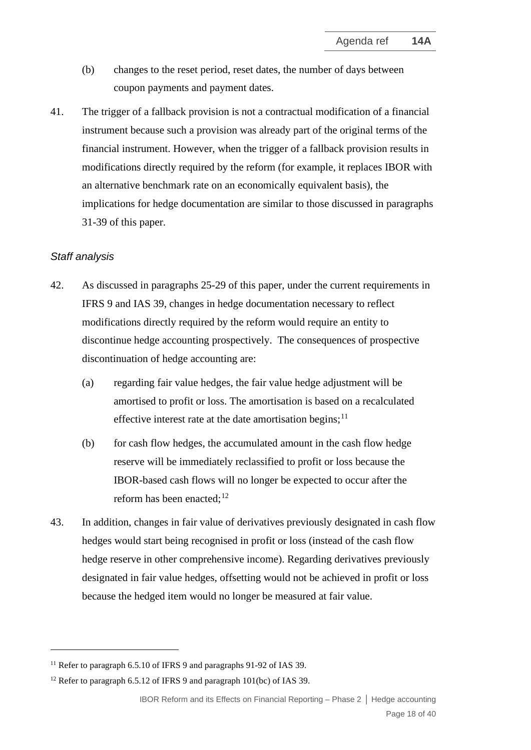- (b) changes to the reset period, reset dates, the number of days between coupon payments and payment dates.
- 41. The trigger of a fallback provision is not a contractual modification of a financial instrument because such a provision was already part of the original terms of the financial instrument. However, when the trigger of a fallback provision results in modifications directly required by the reform (for example, it replaces IBOR with an alternative benchmark rate on an economically equivalent basis), the implications for hedge documentation are similar to those discussed in paragraphs 31-39 of this paper.

#### *Staff analysis*

- 42. As discussed in paragraphs 25-29 of this paper, under the current requirements in IFRS 9 and IAS 39, changes in hedge documentation necessary to reflect modifications directly required by the reform would require an entity to discontinue hedge accounting prospectively. The consequences of prospective discontinuation of hedge accounting are:
	- (a) regarding fair value hedges, the fair value hedge adjustment will be amortised to profit or loss. The amortisation is based on a recalculated effective interest rate at the date amortisation begins;  $11$
	- (b) for cash flow hedges, the accumulated amount in the cash flow hedge reserve will be immediately reclassified to profit or loss because the IBOR-based cash flows will no longer be expected to occur after the reform has been enacted;<sup>[12](#page-17-1)</sup>
- 43. In addition, changes in fair value of derivatives previously designated in cash flow hedges would start being recognised in profit or loss (instead of the cash flow hedge reserve in other comprehensive income). Regarding derivatives previously designated in fair value hedges, offsetting would not be achieved in profit or loss because the hedged item would no longer be measured at fair value.

<span id="page-17-0"></span><sup>&</sup>lt;sup>11</sup> Refer to paragraph 6.5.10 of IFRS 9 and paragraphs 91-92 of IAS 39.

<span id="page-17-1"></span><sup>&</sup>lt;sup>12</sup> Refer to paragraph 6.5.12 of IFRS 9 and paragraph 101(bc) of IAS 39.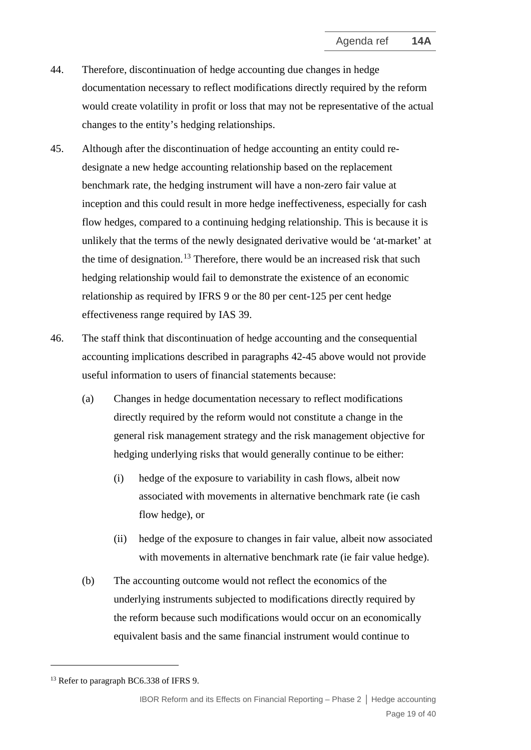- 44. Therefore, discontinuation of hedge accounting due changes in hedge documentation necessary to reflect modifications directly required by the reform would create volatility in profit or loss that may not be representative of the actual changes to the entity's hedging relationships.
- 45. Although after the discontinuation of hedge accounting an entity could redesignate a new hedge accounting relationship based on the replacement benchmark rate, the hedging instrument will have a non-zero fair value at inception and this could result in more hedge ineffectiveness, especially for cash flow hedges, compared to a continuing hedging relationship. This is because it is unlikely that the terms of the newly designated derivative would be 'at-market' at the time of designation.<sup>[13](#page-18-0)</sup> Therefore, there would be an increased risk that such hedging relationship would fail to demonstrate the existence of an economic relationship as required by IFRS 9 or the 80 per cent-125 per cent hedge effectiveness range required by IAS 39.
- 46. The staff think that discontinuation of hedge accounting and the consequential accounting implications described in paragraphs 42-45 above would not provide useful information to users of financial statements because:
	- (a) Changes in hedge documentation necessary to reflect modifications directly required by the reform would not constitute a change in the general risk management strategy and the risk management objective for hedging underlying risks that would generally continue to be either:
		- (i) hedge of the exposure to variability in cash flows, albeit now associated with movements in alternative benchmark rate (ie cash flow hedge), or
		- (ii) hedge of the exposure to changes in fair value, albeit now associated with movements in alternative benchmark rate (ie fair value hedge).
	- (b) The accounting outcome would not reflect the economics of the underlying instruments subjected to modifications directly required by the reform because such modifications would occur on an economically equivalent basis and the same financial instrument would continue to

<span id="page-18-0"></span><sup>&</sup>lt;sup>13</sup> Refer to paragraph BC6.338 of IFRS 9.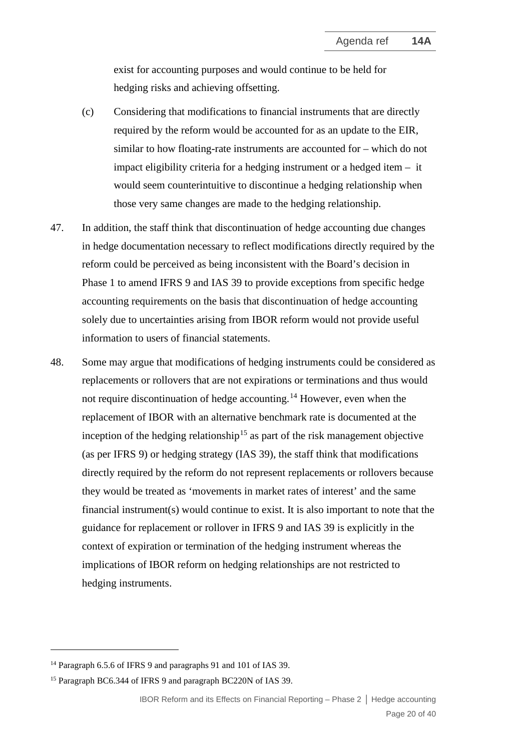exist for accounting purposes and would continue to be held for hedging risks and achieving offsetting.

- (c) Considering that modifications to financial instruments that are directly required by the reform would be accounted for as an update to the EIR, similar to how floating-rate instruments are accounted for – which do not impact eligibility criteria for a hedging instrument or a hedged item – it would seem counterintuitive to discontinue a hedging relationship when those very same changes are made to the hedging relationship.
- 47. In addition, the staff think that discontinuation of hedge accounting due changes in hedge documentation necessary to reflect modifications directly required by the reform could be perceived as being inconsistent with the Board's decision in Phase 1 to amend IFRS 9 and IAS 39 to provide exceptions from specific hedge accounting requirements on the basis that discontinuation of hedge accounting solely due to uncertainties arising from IBOR reform would not provide useful information to users of financial statements.
- 48. Some may argue that modifications of hedging instruments could be considered as replacements or rollovers that are not expirations or terminations and thus would not require discontinuation of hedge accounting.<sup>[14](#page-19-0)</sup> However, even when the replacement of IBOR with an alternative benchmark rate is documented at the inception of the hedging relationship<sup>[15](#page-19-1)</sup> as part of the risk management objective (as per IFRS 9) or hedging strategy (IAS 39), the staff think that modifications directly required by the reform do not represent replacements or rollovers because they would be treated as 'movements in market rates of interest' and the same financial instrument(s) would continue to exist. It is also important to note that the guidance for replacement or rollover in IFRS 9 and IAS 39 is explicitly in the context of expiration or termination of the hedging instrument whereas the implications of IBOR reform on hedging relationships are not restricted to hedging instruments.

<span id="page-19-0"></span><sup>&</sup>lt;sup>14</sup> Paragraph 6.5.6 of IFRS 9 and paragraphs 91 and 101 of IAS 39.

<span id="page-19-1"></span><sup>&</sup>lt;sup>15</sup> Paragraph BC6.344 of IFRS 9 and paragraph BC220N of IAS 39.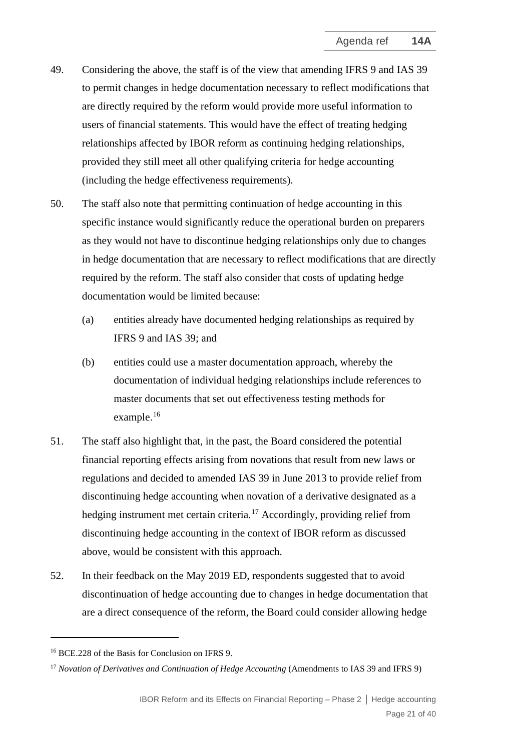- 49. Considering the above, the staff is of the view that amending IFRS 9 and IAS 39 to permit changes in hedge documentation necessary to reflect modifications that are directly required by the reform would provide more useful information to users of financial statements. This would have the effect of treating hedging relationships affected by IBOR reform as continuing hedging relationships, provided they still meet all other qualifying criteria for hedge accounting (including the hedge effectiveness requirements).
- 50. The staff also note that permitting continuation of hedge accounting in this specific instance would significantly reduce the operational burden on preparers as they would not have to discontinue hedging relationships only due to changes in hedge documentation that are necessary to reflect modifications that are directly required by the reform. The staff also consider that costs of updating hedge documentation would be limited because:
	- (a) entities already have documented hedging relationships as required by IFRS 9 and IAS 39; and
	- (b) entities could use a master documentation approach, whereby the documentation of individual hedging relationships include references to master documents that set out effectiveness testing methods for example.[16](#page-20-0)
- 51. The staff also highlight that, in the past, the Board considered the potential financial reporting effects arising from novations that result from new laws or regulations and decided to amended IAS 39 in June 2013 to provide relief from discontinuing hedge accounting when novation of a derivative designated as a hedging instrument met certain criteria.<sup>[17](#page-20-1)</sup> Accordingly, providing relief from discontinuing hedge accounting in the context of IBOR reform as discussed above, would be consistent with this approach.
- 52. In their feedback on the May 2019 ED, respondents suggested that to avoid discontinuation of hedge accounting due to changes in hedge documentation that are a direct consequence of the reform, the Board could consider allowing hedge

<span id="page-20-0"></span><sup>16</sup> BCE.228 of the Basis for Conclusion on IFRS 9.

<span id="page-20-1"></span><sup>&</sup>lt;sup>17</sup> *Novation of Derivatives and Continuation of Hedge Accounting* (Amendments to IAS 39 and IFRS 9)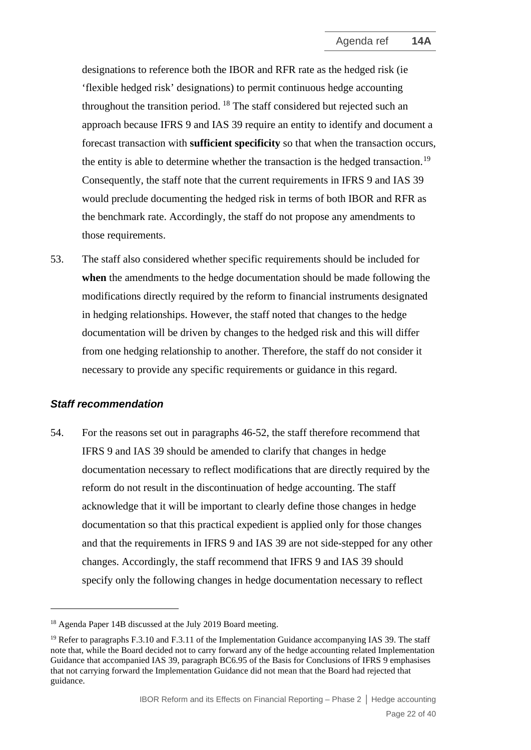designations to reference both the IBOR and RFR rate as the hedged risk (ie 'flexible hedged risk' designations) to permit continuous hedge accounting throughout the transition period. [18](#page-21-0) The staff considered but rejected such an approach because IFRS 9 and IAS 39 require an entity to identify and document a forecast transaction with **sufficient specificity** so that when the transaction occurs, the entity is able to determine whether the transaction is the hedged transaction.<sup>[19](#page-21-1)</sup> Consequently, the staff note that the current requirements in IFRS 9 and IAS 39 would preclude documenting the hedged risk in terms of both IBOR and RFR as the benchmark rate. Accordingly, the staff do not propose any amendments to those requirements.

53. The staff also considered whether specific requirements should be included for **when** the amendments to the hedge documentation should be made following the modifications directly required by the reform to financial instruments designated in hedging relationships. However, the staff noted that changes to the hedge documentation will be driven by changes to the hedged risk and this will differ from one hedging relationship to another. Therefore, the staff do not consider it necessary to provide any specific requirements or guidance in this regard.

#### *Staff recommendation*

54. For the reasons set out in paragraphs 46-52, the staff therefore recommend that IFRS 9 and IAS 39 should be amended to clarify that changes in hedge documentation necessary to reflect modifications that are directly required by the reform do not result in the discontinuation of hedge accounting. The staff acknowledge that it will be important to clearly define those changes in hedge documentation so that this practical expedient is applied only for those changes and that the requirements in IFRS 9 and IAS 39 are not side-stepped for any other changes. Accordingly, the staff recommend that IFRS 9 and IAS 39 should specify only the following changes in hedge documentation necessary to reflect

<span id="page-21-0"></span><sup>&</sup>lt;sup>18</sup> Agenda Paper 14B discussed at the July 2019 Board meeting.

<span id="page-21-1"></span><sup>&</sup>lt;sup>19</sup> Refer to paragraphs F.3.10 and F.3.11 of the Implementation Guidance accompanying IAS 39. The staff note that, while the Board decided not to carry forward any of the hedge accounting related Implementation Guidance that accompanied IAS 39, paragraph BC6.95 of the Basis for Conclusions of IFRS 9 emphasises that not carrying forward the Implementation Guidance did not mean that the Board had rejected that guidance.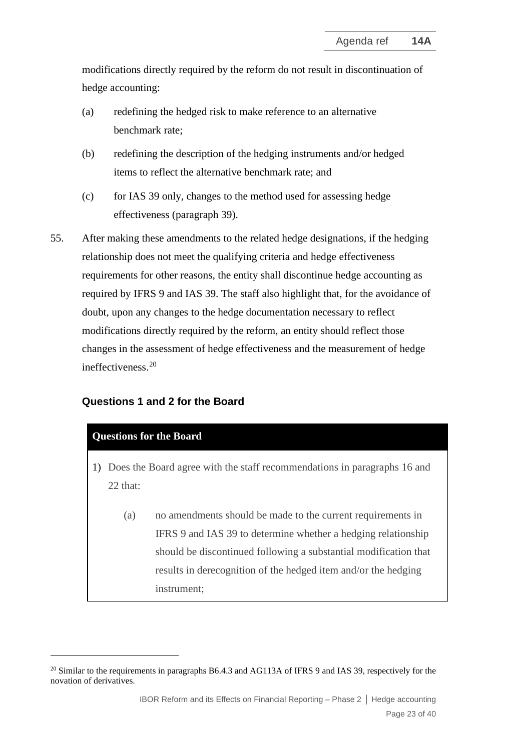modifications directly required by the reform do not result in discontinuation of hedge accounting:

- (a) redefining the hedged risk to make reference to an alternative benchmark rate;
- (b) redefining the description of the hedging instruments and/or hedged items to reflect the alternative benchmark rate; and
- (c) for IAS 39 only, changes to the method used for assessing hedge effectiveness (paragraph 39).
- 55. After making these amendments to the related hedge designations, if the hedging relationship does not meet the qualifying criteria and hedge effectiveness requirements for other reasons, the entity shall discontinue hedge accounting as required by IFRS 9 and IAS 39. The staff also highlight that, for the avoidance of doubt, upon any changes to the hedge documentation necessary to reflect modifications directly required by the reform, an entity should reflect those changes in the assessment of hedge effectiveness and the measurement of hedge ineffectiveness. [20](#page-22-0)

#### **Questions 1 and 2 for the Board**

#### **Questions for the Board**

- 1) Does the Board agree with the staff recommendations in paragraphs 16 and 22 that:
	- (a) no amendments should be made to the current requirements in IFRS 9 and IAS 39 to determine whether a hedging relationship should be discontinued following a substantial modification that results in derecognition of the hedged item and/or the hedging instrument;

<span id="page-22-0"></span><sup>&</sup>lt;sup>20</sup> Similar to the requirements in paragraphs B6.4.3 and AG113A of IFRS 9 and IAS 39, respectively for the novation of derivatives.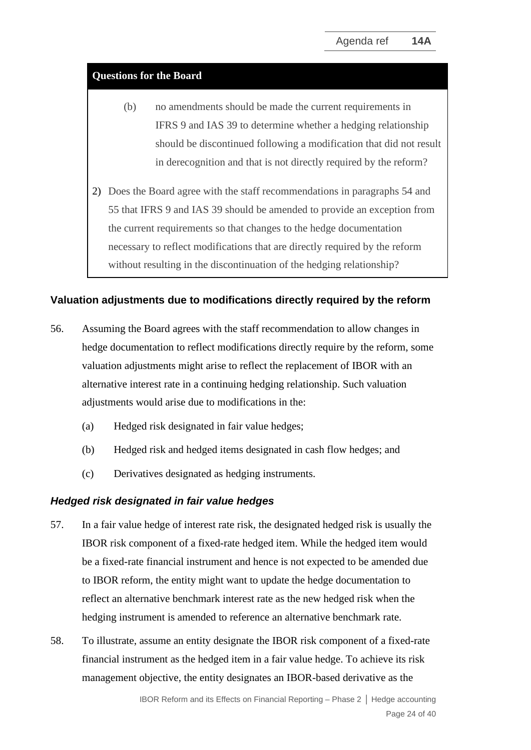#### **Questions for the Board**

- (b) no amendments should be made the current requirements in IFRS 9 and IAS 39 to determine whether a hedging relationship should be discontinued following a modification that did not result in derecognition and that is not directly required by the reform?
- 2) Does the Board agree with the staff recommendations in paragraphs 54 and 55 that IFRS 9 and IAS 39 should be amended to provide an exception from the current requirements so that changes to the hedge documentation necessary to reflect modifications that are directly required by the reform without resulting in the discontinuation of the hedging relationship?

#### **Valuation adjustments due to modifications directly required by the reform**

- <span id="page-23-0"></span>56. Assuming the Board agrees with the staff recommendation to allow changes in hedge documentation to reflect modifications directly require by the reform, some valuation adjustments might arise to reflect the replacement of IBOR with an alternative interest rate in a continuing hedging relationship. Such valuation adjustments would arise due to modifications in the:
	- (a) Hedged risk designated in fair value hedges;
	- (b) Hedged risk and hedged items designated in cash flow hedges; and
	- (c) Derivatives designated as hedging instruments.

#### *Hedged risk designated in fair value hedges*

- 57. In a fair value hedge of interest rate risk, the designated hedged risk is usually the IBOR risk component of a fixed-rate hedged item. While the hedged item would be a fixed-rate financial instrument and hence is not expected to be amended due to IBOR reform, the entity might want to update the hedge documentation to reflect an alternative benchmark interest rate as the new hedged risk when the hedging instrument is amended to reference an alternative benchmark rate.
- 58. To illustrate, assume an entity designate the IBOR risk component of a fixed-rate financial instrument as the hedged item in a fair value hedge. To achieve its risk management objective, the entity designates an IBOR-based derivative as the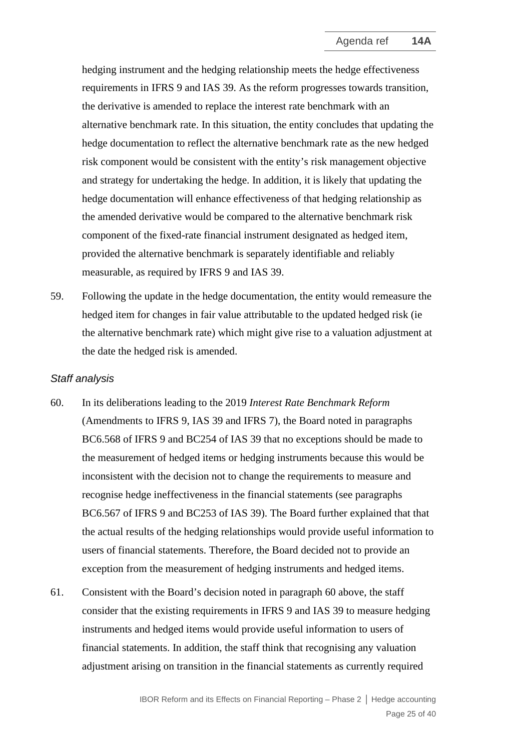hedging instrument and the hedging relationship meets the hedge effectiveness requirements in IFRS 9 and IAS 39. As the reform progresses towards transition, the derivative is amended to replace the interest rate benchmark with an alternative benchmark rate. In this situation, the entity concludes that updating the hedge documentation to reflect the alternative benchmark rate as the new hedged risk component would be consistent with the entity's risk management objective and strategy for undertaking the hedge. In addition, it is likely that updating the hedge documentation will enhance effectiveness of that hedging relationship as the amended derivative would be compared to the alternative benchmark risk component of the fixed-rate financial instrument designated as hedged item, provided the alternative benchmark is separately identifiable and reliably measurable, as required by IFRS 9 and IAS 39.

59. Following the update in the hedge documentation, the entity would remeasure the hedged item for changes in fair value attributable to the updated hedged risk (ie the alternative benchmark rate) which might give rise to a valuation adjustment at the date the hedged risk is amended.

#### *Staff analysis*

- 60. In its deliberations leading to the 2019 *Interest Rate Benchmark Reform* (Amendments to IFRS 9, IAS 39 and IFRS 7), the Board noted in paragraphs BC6.568 of IFRS 9 and BC254 of IAS 39 that no exceptions should be made to the measurement of hedged items or hedging instruments because this would be inconsistent with the decision not to change the requirements to measure and recognise hedge ineffectiveness in the financial statements (see paragraphs BC6.567 of IFRS 9 and BC253 of IAS 39). The Board further explained that that the actual results of the hedging relationships would provide useful information to users of financial statements. Therefore, the Board decided not to provide an exception from the measurement of hedging instruments and hedged items.
- 61. Consistent with the Board's decision noted in paragraph 60 above, the staff consider that the existing requirements in IFRS 9 and IAS 39 to measure hedging instruments and hedged items would provide useful information to users of financial statements. In addition, the staff think that recognising any valuation adjustment arising on transition in the financial statements as currently required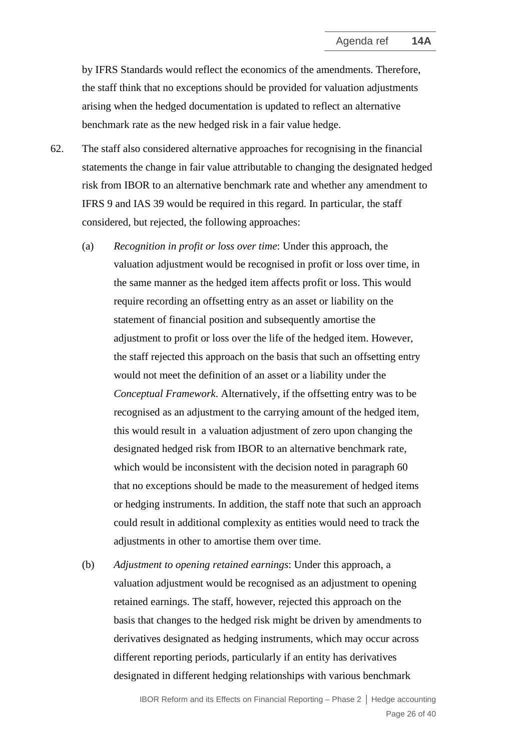by IFRS Standards would reflect the economics of the amendments. Therefore, the staff think that no exceptions should be provided for valuation adjustments arising when the hedged documentation is updated to reflect an alternative benchmark rate as the new hedged risk in a fair value hedge.

- 62. The staff also considered alternative approaches for recognising in the financial statements the change in fair value attributable to changing the designated hedged risk from IBOR to an alternative benchmark rate and whether any amendment to IFRS 9 and IAS 39 would be required in this regard. In particular, the staff considered, but rejected, the following approaches:
	- (a) *Recognition in profit or loss over time*: Under this approach, the valuation adjustment would be recognised in profit or loss over time, in the same manner as the hedged item affects profit or loss. This would require recording an offsetting entry as an asset or liability on the statement of financial position and subsequently amortise the adjustment to profit or loss over the life of the hedged item. However, the staff rejected this approach on the basis that such an offsetting entry would not meet the definition of an asset or a liability under the *Conceptual Framework*. Alternatively, if the offsetting entry was to be recognised as an adjustment to the carrying amount of the hedged item, this would result in a valuation adjustment of zero upon changing the designated hedged risk from IBOR to an alternative benchmark rate, which would be inconsistent with the decision noted in paragraph 60 that no exceptions should be made to the measurement of hedged items or hedging instruments. In addition, the staff note that such an approach could result in additional complexity as entities would need to track the adjustments in other to amortise them over time.
	- (b) *Adjustment to opening retained earnings*: Under this approach, a valuation adjustment would be recognised as an adjustment to opening retained earnings. The staff, however, rejected this approach on the basis that changes to the hedged risk might be driven by amendments to derivatives designated as hedging instruments, which may occur across different reporting periods, particularly if an entity has derivatives designated in different hedging relationships with various benchmark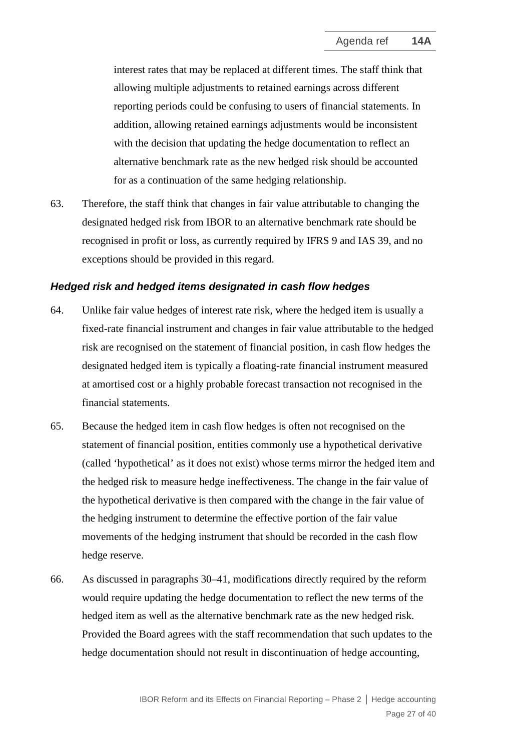interest rates that may be replaced at different times. The staff think that allowing multiple adjustments to retained earnings across different reporting periods could be confusing to users of financial statements. In addition, allowing retained earnings adjustments would be inconsistent with the decision that updating the hedge documentation to reflect an alternative benchmark rate as the new hedged risk should be accounted for as a continuation of the same hedging relationship.

63. Therefore, the staff think that changes in fair value attributable to changing the designated hedged risk from IBOR to an alternative benchmark rate should be recognised in profit or loss, as currently required by IFRS 9 and IAS 39, and no exceptions should be provided in this regard.

#### *Hedged risk and hedged items designated in cash flow hedges*

- 64. Unlike fair value hedges of interest rate risk, where the hedged item is usually a fixed-rate financial instrument and changes in fair value attributable to the hedged risk are recognised on the statement of financial position, in cash flow hedges the designated hedged item is typically a floating-rate financial instrument measured at amortised cost or a highly probable forecast transaction not recognised in the financial statements.
- 65. Because the hedged item in cash flow hedges is often not recognised on the statement of financial position, entities commonly use a hypothetical derivative (called 'hypothetical' as it does not exist) whose terms mirror the hedged item and the hedged risk to measure hedge ineffectiveness. The change in the fair value of the hypothetical derivative is then compared with the change in the fair value of the hedging instrument to determine the effective portion of the fair value movements of the hedging instrument that should be recorded in the cash flow hedge reserve.
- 66. As discussed in paragraphs 30–41, modifications directly required by the reform would require updating the hedge documentation to reflect the new terms of the hedged item as well as the alternative benchmark rate as the new hedged risk. Provided the Board agrees with the staff recommendation that such updates to the hedge documentation should not result in discontinuation of hedge accounting,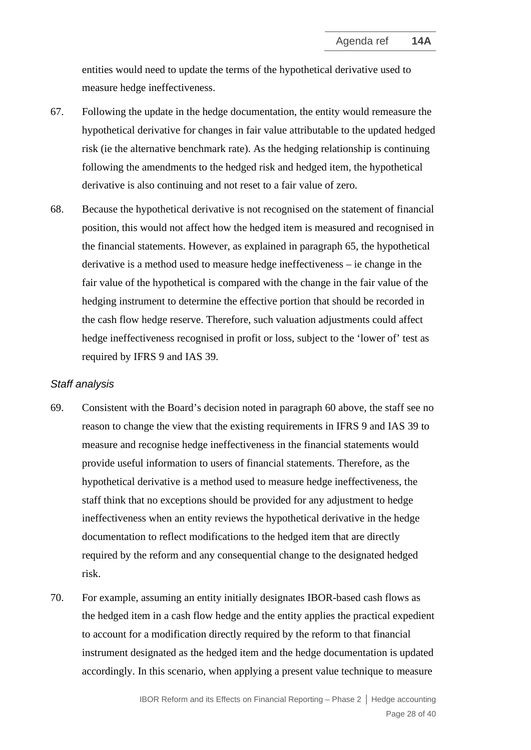entities would need to update the terms of the hypothetical derivative used to measure hedge ineffectiveness.

- 67. Following the update in the hedge documentation, the entity would remeasure the hypothetical derivative for changes in fair value attributable to the updated hedged risk (ie the alternative benchmark rate). As the hedging relationship is continuing following the amendments to the hedged risk and hedged item, the hypothetical derivative is also continuing and not reset to a fair value of zero.
- 68. Because the hypothetical derivative is not recognised on the statement of financial position, this would not affect how the hedged item is measured and recognised in the financial statements. However, as explained in paragraph 65, the hypothetical derivative is a method used to measure hedge ineffectiveness – ie change in the fair value of the hypothetical is compared with the change in the fair value of the hedging instrument to determine the effective portion that should be recorded in the cash flow hedge reserve. Therefore, such valuation adjustments could affect hedge ineffectiveness recognised in profit or loss, subject to the 'lower of' test as required by IFRS 9 and IAS 39.

#### *Staff analysis*

- 69. Consistent with the Board's decision noted in paragraph 60 above, the staff see no reason to change the view that the existing requirements in IFRS 9 and IAS 39 to measure and recognise hedge ineffectiveness in the financial statements would provide useful information to users of financial statements. Therefore, as the hypothetical derivative is a method used to measure hedge ineffectiveness, the staff think that no exceptions should be provided for any adjustment to hedge ineffectiveness when an entity reviews the hypothetical derivative in the hedge documentation to reflect modifications to the hedged item that are directly required by the reform and any consequential change to the designated hedged risk.
- 70. For example, assuming an entity initially designates IBOR-based cash flows as the hedged item in a cash flow hedge and the entity applies the practical expedient to account for a modification directly required by the reform to that financial instrument designated as the hedged item and the hedge documentation is updated accordingly. In this scenario, when applying a present value technique to measure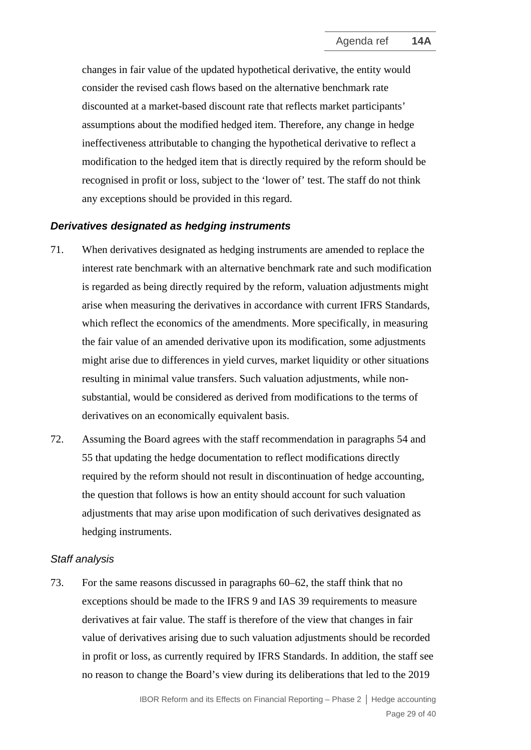changes in fair value of the updated hypothetical derivative, the entity would consider the revised cash flows based on the alternative benchmark rate discounted at a market-based discount rate that reflects market participants' assumptions about the modified hedged item. Therefore, any change in hedge ineffectiveness attributable to changing the hypothetical derivative to reflect a modification to the hedged item that is directly required by the reform should be recognised in profit or loss, subject to the 'lower of' test. The staff do not think any exceptions should be provided in this regard.

#### *Derivatives designated as hedging instruments*

- 71. When derivatives designated as hedging instruments are amended to replace the interest rate benchmark with an alternative benchmark rate and such modification is regarded as being directly required by the reform, valuation adjustments might arise when measuring the derivatives in accordance with current IFRS Standards, which reflect the economics of the amendments. More specifically, in measuring the fair value of an amended derivative upon its modification, some adjustments might arise due to differences in yield curves, market liquidity or other situations resulting in minimal value transfers. Such valuation adjustments, while nonsubstantial, would be considered as derived from modifications to the terms of derivatives on an economically equivalent basis.
- 72. Assuming the Board agrees with the staff recommendation in paragraphs 54 and 55 that updating the hedge documentation to reflect modifications directly required by the reform should not result in discontinuation of hedge accounting, the question that follows is how an entity should account for such valuation adjustments that may arise upon modification of such derivatives designated as hedging instruments.

#### *Staff analysis*

73. For the same reasons discussed in paragraphs 60–62, the staff think that no exceptions should be made to the IFRS 9 and IAS 39 requirements to measure derivatives at fair value. The staff is therefore of the view that changes in fair value of derivatives arising due to such valuation adjustments should be recorded in profit or loss, as currently required by IFRS Standards. In addition, the staff see no reason to change the Board's view during its deliberations that led to the 2019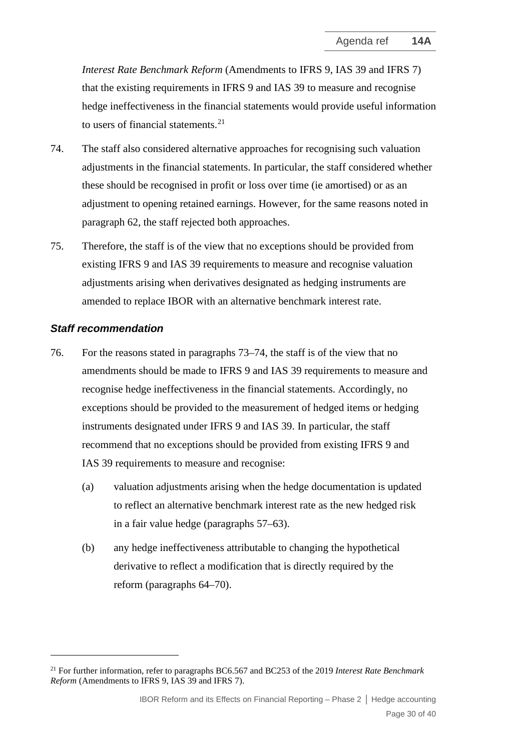*Interest Rate Benchmark Reform* (Amendments to IFRS 9, IAS 39 and IFRS 7) that the existing requirements in IFRS 9 and IAS 39 to measure and recognise hedge ineffectiveness in the financial statements would provide useful information to users of financial statements. [21](#page-29-1)

- 74. The staff also considered alternative approaches for recognising such valuation adjustments in the financial statements. In particular, the staff considered whether these should be recognised in profit or loss over time (ie amortised) or as an adjustment to opening retained earnings. However, for the same reasons noted in paragraph 62, the staff rejected both approaches.
- 75. Therefore, the staff is of the view that no exceptions should be provided from existing IFRS 9 and IAS 39 requirements to measure and recognise valuation adjustments arising when derivatives designated as hedging instruments are amended to replace IBOR with an alternative benchmark interest rate.

#### *Staff recommendation*

- <span id="page-29-0"></span>76. For the reasons stated in paragraphs 73–74, the staff is of the view that no amendments should be made to IFRS 9 and IAS 39 requirements to measure and recognise hedge ineffectiveness in the financial statements. Accordingly, no exceptions should be provided to the measurement of hedged items or hedging instruments designated under IFRS 9 and IAS 39. In particular, the staff recommend that no exceptions should be provided from existing IFRS 9 and IAS 39 requirements to measure and recognise:
	- (a) valuation adjustments arising when the hedge documentation is updated to reflect an alternative benchmark interest rate as the new hedged risk in a fair value hedge (paragraphs 57–63).
	- (b) any hedge ineffectiveness attributable to changing the hypothetical derivative to reflect a modification that is directly required by the reform (paragraphs 64–70).

<span id="page-29-1"></span><sup>21</sup> For further information, refer to paragraphs BC6.567 and BC253 of the 2019 *Interest Rate Benchmark Reform* (Amendments to IFRS 9, IAS 39 and IFRS 7).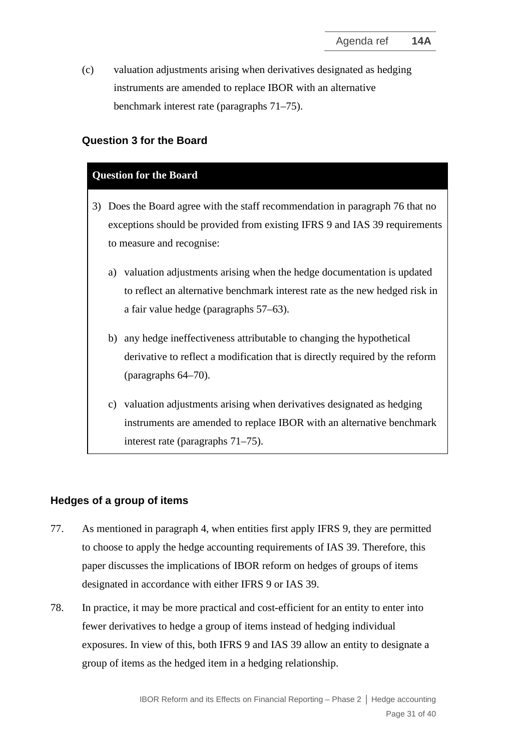(c) valuation adjustments arising when derivatives designated as hedging instruments are amended to replace IBOR with an alternative benchmark interest rate (paragraphs 71–75).

#### **Question 3 for the Board**

#### **Question for the Board**

- 3) Does the Board agree with the staff recommendation in paragraph 76 that no exceptions should be provided from existing IFRS 9 and IAS 39 requirements to measure and recognise:
	- a) valuation adjustments arising when the hedge documentation is updated to reflect an alternative benchmark interest rate as the new hedged risk in a fair value hedge (paragraphs 57–63).
	- b) any hedge ineffectiveness attributable to changing the hypothetical derivative to reflect a modification that is directly required by the reform (paragraphs 64–70).
	- c) valuation adjustments arising when derivatives designated as hedging instruments are amended to replace IBOR with an alternative benchmark interest rate (paragraphs 71–75).

#### **Hedges of a group of items**

- <span id="page-30-0"></span>77. As mentioned in paragraph 4, when entities first apply IFRS 9, they are permitted to choose to apply the hedge accounting requirements of IAS 39. Therefore, this paper discusses the implications of IBOR reform on hedges of groups of items designated in accordance with either IFRS 9 or IAS 39.
- 78. In practice, it may be more practical and cost-efficient for an entity to enter into fewer derivatives to hedge a group of items instead of hedging individual exposures. In view of this, both IFRS 9 and IAS 39 allow an entity to designate a group of items as the hedged item in a hedging relationship.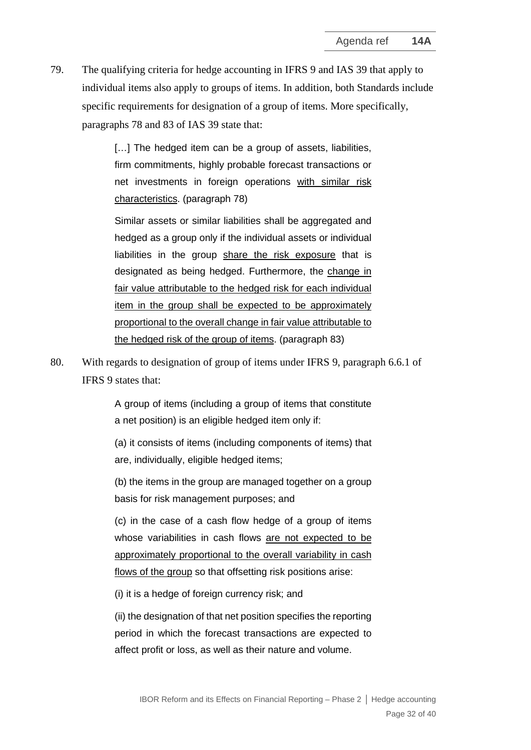79. The qualifying criteria for hedge accounting in IFRS 9 and IAS 39 that apply to individual items also apply to groups of items. In addition, both Standards include specific requirements for designation of a group of items. More specifically, paragraphs 78 and 83 of IAS 39 state that:

> [...] The hedged item can be a group of assets, liabilities, firm commitments, highly probable forecast transactions or net investments in foreign operations with similar risk characteristics. (paragraph 78)

> Similar assets or similar liabilities shall be aggregated and hedged as a group only if the individual assets or individual liabilities in the group share the risk exposure that is designated as being hedged. Furthermore, the change in fair value attributable to the hedged risk for each individual item in the group shall be expected to be approximately proportional to the overall change in fair value attributable to the hedged risk of the group of items. (paragraph 83)

80. With regards to designation of group of items under IFRS 9, paragraph 6.6.1 of IFRS 9 states that:

> A group of items (including a group of items that constitute a net position) is an eligible hedged item only if:

> (a) it consists of items (including components of items) that are, individually, eligible hedged items;

> (b) the items in the group are managed together on a group basis for risk management purposes; and

> (c) in the case of a cash flow hedge of a group of items whose variabilities in cash flows are not expected to be approximately proportional to the overall variability in cash flows of the group so that offsetting risk positions arise:

(i) it is a hedge of foreign currency risk; and

(ii) the designation of that net position specifies the reporting period in which the forecast transactions are expected to affect profit or loss, as well as their nature and volume.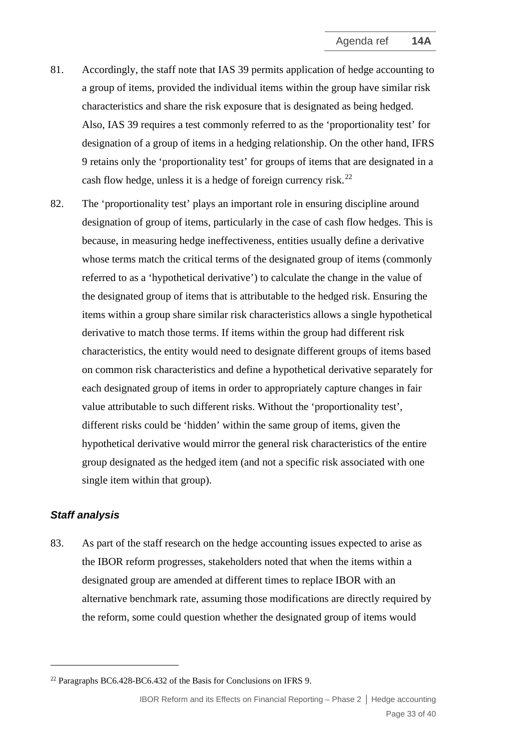- 81. Accordingly, the staff note that IAS 39 permits application of hedge accounting to a group of items, provided the individual items within the group have similar risk characteristics and share the risk exposure that is designated as being hedged. Also, IAS 39 requires a test commonly referred to as the 'proportionality test' for designation of a group of items in a hedging relationship. On the other hand, IFRS 9 retains only the 'proportionality test' for groups of items that are designated in a cash flow hedge, unless it is a hedge of foreign currency risk.<sup>[22](#page-32-0)</sup>
- 82. The 'proportionality test' plays an important role in ensuring discipline around designation of group of items, particularly in the case of cash flow hedges. This is because, in measuring hedge ineffectiveness, entities usually define a derivative whose terms match the critical terms of the designated group of items (commonly referred to as a 'hypothetical derivative') to calculate the change in the value of the designated group of items that is attributable to the hedged risk. Ensuring the items within a group share similar risk characteristics allows a single hypothetical derivative to match those terms. If items within the group had different risk characteristics, the entity would need to designate different groups of items based on common risk characteristics and define a hypothetical derivative separately for each designated group of items in order to appropriately capture changes in fair value attributable to such different risks. Without the 'proportionality test', different risks could be 'hidden' within the same group of items, given the hypothetical derivative would mirror the general risk characteristics of the entire group designated as the hedged item (and not a specific risk associated with one single item within that group).

#### *Staff analysis*

83. As part of the staff research on the hedge accounting issues expected to arise as the IBOR reform progresses, stakeholders noted that when the items within a designated group are amended at different times to replace IBOR with an alternative benchmark rate, assuming those modifications are directly required by the reform, some could question whether the designated group of items would

<span id="page-32-0"></span> $22$  Paragraphs BC6.428-BC6.432 of the Basis for Conclusions on IFRS 9.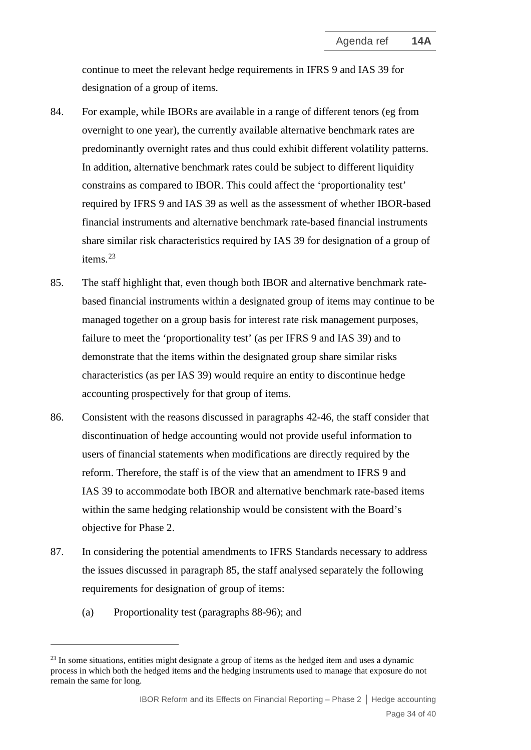continue to meet the relevant hedge requirements in IFRS 9 and IAS 39 for designation of a group of items.

- 84. For example, while IBORs are available in a range of different tenors (eg from overnight to one year), the currently available alternative benchmark rates are predominantly overnight rates and thus could exhibit different volatility patterns. In addition, alternative benchmark rates could be subject to different liquidity constrains as compared to IBOR. This could affect the 'proportionality test' required by IFRS 9 and IAS 39 as well as the assessment of whether IBOR-based financial instruments and alternative benchmark rate-based financial instruments share similar risk characteristics required by IAS 39 for designation of a group of items.[23](#page-33-0)
- 85. The staff highlight that, even though both IBOR and alternative benchmark ratebased financial instruments within a designated group of items may continue to be managed together on a group basis for interest rate risk management purposes, failure to meet the 'proportionality test' (as per IFRS 9 and IAS 39) and to demonstrate that the items within the designated group share similar risks characteristics (as per IAS 39) would require an entity to discontinue hedge accounting prospectively for that group of items.
- 86. Consistent with the reasons discussed in paragraphs 42-46, the staff consider that discontinuation of hedge accounting would not provide useful information to users of financial statements when modifications are directly required by the reform. Therefore, the staff is of the view that an amendment to IFRS 9 and IAS 39 to accommodate both IBOR and alternative benchmark rate-based items within the same hedging relationship would be consistent with the Board's objective for Phase 2.
- 87. In considering the potential amendments to IFRS Standards necessary to address the issues discussed in paragraph 85, the staff analysed separately the following requirements for designation of group of items:
	- (a) Proportionality test (paragraphs 88-96); and

<span id="page-33-0"></span> $^{23}$  In some situations, entities might designate a group of items as the hedged item and uses a dynamic process in which both the hedged items and the hedging instruments used to manage that exposure do not remain the same for long.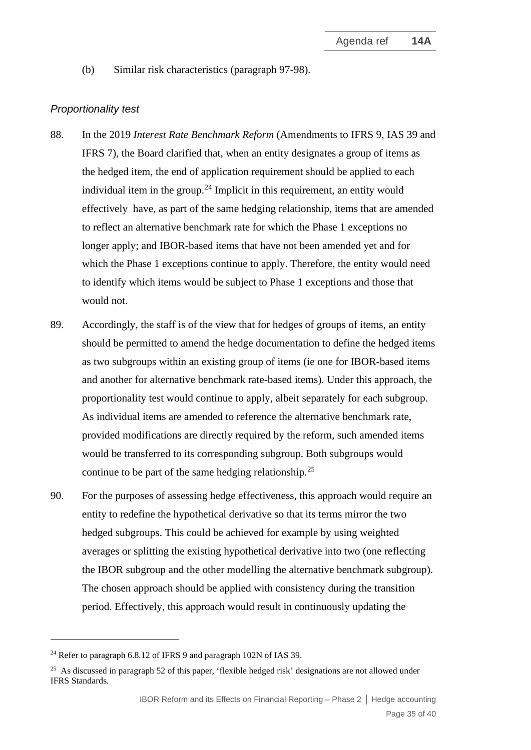(b) Similar risk characteristics (paragraph 97-98).

#### *Proportionality test*

- 88. In the 2019 *Interest Rate Benchmark Reform* (Amendments to IFRS 9, IAS 39 and IFRS 7), the Board clarified that, when an entity designates a group of items as the hedged item, the end of application requirement should be applied to each individual item in the group.<sup>[24](#page-34-0)</sup> Implicit in this requirement, an entity would effectively have, as part of the same hedging relationship, items that are amended to reflect an alternative benchmark rate for which the Phase 1 exceptions no longer apply; and IBOR-based items that have not been amended yet and for which the Phase 1 exceptions continue to apply. Therefore, the entity would need to identify which items would be subject to Phase 1 exceptions and those that would not.
- 89. Accordingly, the staff is of the view that for hedges of groups of items, an entity should be permitted to amend the hedge documentation to define the hedged items as two subgroups within an existing group of items (ie one for IBOR-based items and another for alternative benchmark rate-based items). Under this approach, the proportionality test would continue to apply, albeit separately for each subgroup. As individual items are amended to reference the alternative benchmark rate, provided modifications are directly required by the reform, such amended items would be transferred to its corresponding subgroup. Both subgroups would continue to be part of the same hedging relationship.<sup>[25](#page-34-1)</sup>
- 90. For the purposes of assessing hedge effectiveness, this approach would require an entity to redefine the hypothetical derivative so that its terms mirror the two hedged subgroups. This could be achieved for example by using weighted averages or splitting the existing hypothetical derivative into two (one reflecting the IBOR subgroup and the other modelling the alternative benchmark subgroup). The chosen approach should be applied with consistency during the transition period. Effectively, this approach would result in continuously updating the

<span id="page-34-0"></span><sup>&</sup>lt;sup>24</sup> Refer to paragraph 6.8.12 of IFRS 9 and paragraph 102N of IAS 39.

<span id="page-34-1"></span><sup>&</sup>lt;sup>25</sup> As discussed in paragraph 52 of this paper, 'flexible hedged risk' designations are not allowed under IFRS Standards.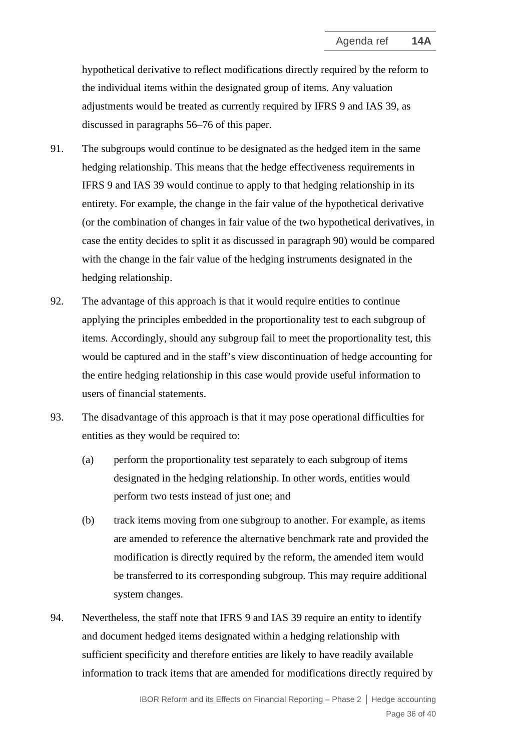hypothetical derivative to reflect modifications directly required by the reform to the individual items within the designated group of items. Any valuation adjustments would be treated as currently required by IFRS 9 and IAS 39, as discussed in paragraphs 56–76 of this paper.

- 91. The subgroups would continue to be designated as the hedged item in the same hedging relationship. This means that the hedge effectiveness requirements in IFRS 9 and IAS 39 would continue to apply to that hedging relationship in its entirety. For example, the change in the fair value of the hypothetical derivative (or the combination of changes in fair value of the two hypothetical derivatives, in case the entity decides to split it as discussed in paragraph 90) would be compared with the change in the fair value of the hedging instruments designated in the hedging relationship.
- 92. The advantage of this approach is that it would require entities to continue applying the principles embedded in the proportionality test to each subgroup of items. Accordingly, should any subgroup fail to meet the proportionality test, this would be captured and in the staff's view discontinuation of hedge accounting for the entire hedging relationship in this case would provide useful information to users of financial statements.
- 93. The disadvantage of this approach is that it may pose operational difficulties for entities as they would be required to:
	- (a) perform the proportionality test separately to each subgroup of items designated in the hedging relationship. In other words, entities would perform two tests instead of just one; and
	- (b) track items moving from one subgroup to another. For example, as items are amended to reference the alternative benchmark rate and provided the modification is directly required by the reform, the amended item would be transferred to its corresponding subgroup. This may require additional system changes.
- 94. Nevertheless, the staff note that IFRS 9 and IAS 39 require an entity to identify and document hedged items designated within a hedging relationship with sufficient specificity and therefore entities are likely to have readily available information to track items that are amended for modifications directly required by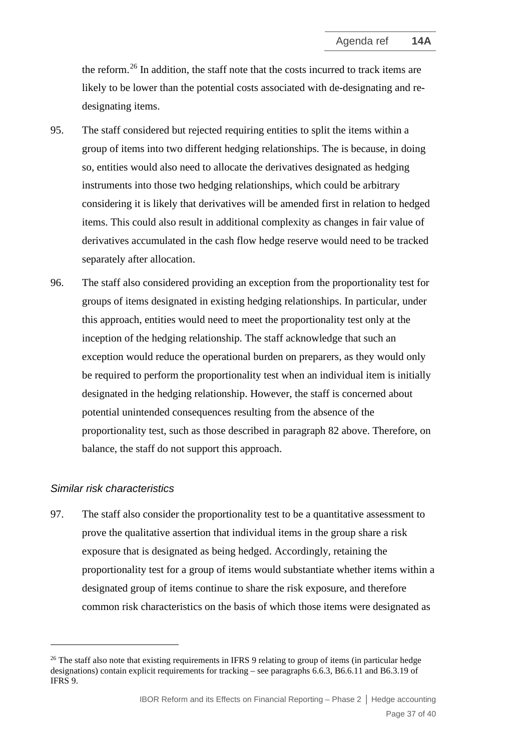the reform.<sup>[26](#page-36-0)</sup> In addition, the staff note that the costs incurred to track items are likely to be lower than the potential costs associated with de-designating and redesignating items.

- 95. The staff considered but rejected requiring entities to split the items within a group of items into two different hedging relationships. The is because, in doing so, entities would also need to allocate the derivatives designated as hedging instruments into those two hedging relationships, which could be arbitrary considering it is likely that derivatives will be amended first in relation to hedged items. This could also result in additional complexity as changes in fair value of derivatives accumulated in the cash flow hedge reserve would need to be tracked separately after allocation.
- 96. The staff also considered providing an exception from the proportionality test for groups of items designated in existing hedging relationships. In particular, under this approach, entities would need to meet the proportionality test only at the inception of the hedging relationship. The staff acknowledge that such an exception would reduce the operational burden on preparers, as they would only be required to perform the proportionality test when an individual item is initially designated in the hedging relationship. However, the staff is concerned about potential unintended consequences resulting from the absence of the proportionality test, such as those described in paragraph 82 above. Therefore, on balance, the staff do not support this approach.

#### *Similar risk characteristics*

97. The staff also consider the proportionality test to be a quantitative assessment to prove the qualitative assertion that individual items in the group share a risk exposure that is designated as being hedged. Accordingly, retaining the proportionality test for a group of items would substantiate whether items within a designated group of items continue to share the risk exposure, and therefore common risk characteristics on the basis of which those items were designated as

<span id="page-36-0"></span><sup>&</sup>lt;sup>26</sup> The staff also note that existing requirements in IFRS 9 relating to group of items (in particular hedge designations) contain explicit requirements for tracking – see paragraphs 6.6.3, B6.6.11 and B6.3.19 of IFRS 9.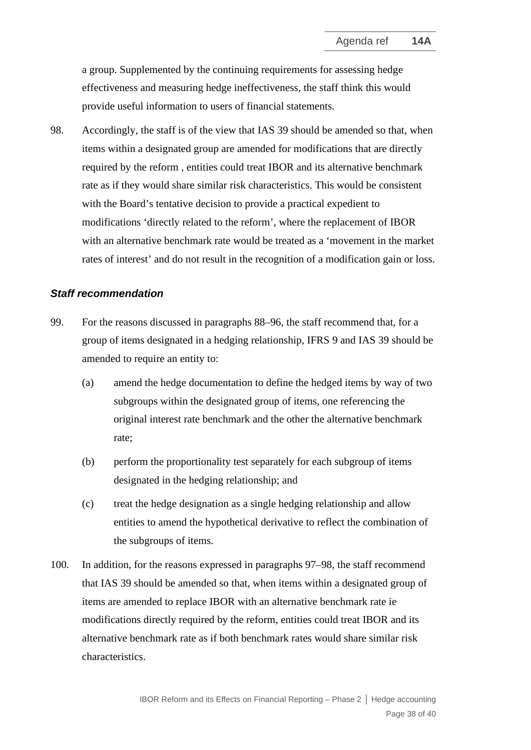a group. Supplemented by the continuing requirements for assessing hedge effectiveness and measuring hedge ineffectiveness, the staff think this would provide useful information to users of financial statements.

98. Accordingly, the staff is of the view that IAS 39 should be amended so that, when items within a designated group are amended for modifications that are directly required by the reform , entities could treat IBOR and its alternative benchmark rate as if they would share similar risk characteristics. This would be consistent with the Board's tentative decision to provide a practical expedient to modifications 'directly related to the reform', where the replacement of IBOR with an alternative benchmark rate would be treated as a 'movement in the market rates of interest' and do not result in the recognition of a modification gain or loss.

#### *Staff recommendation*

- 99. For the reasons discussed in paragraphs 88–96, the staff recommend that, for a group of items designated in a hedging relationship, IFRS 9 and IAS 39 should be amended to require an entity to:
	- (a) amend the hedge documentation to define the hedged items by way of two subgroups within the designated group of items, one referencing the original interest rate benchmark and the other the alternative benchmark rate;
	- (b) perform the proportionality test separately for each subgroup of items designated in the hedging relationship; and
	- (c) treat the hedge designation as a single hedging relationship and allow entities to amend the hypothetical derivative to reflect the combination of the subgroups of items.
- <span id="page-37-0"></span>100. In addition, for the reasons expressed in paragraphs 97–98, the staff recommend that IAS 39 should be amended so that, when items within a designated group of items are amended to replace IBOR with an alternative benchmark rate ie modifications directly required by the reform, entities could treat IBOR and its alternative benchmark rate as if both benchmark rates would share similar risk characteristics.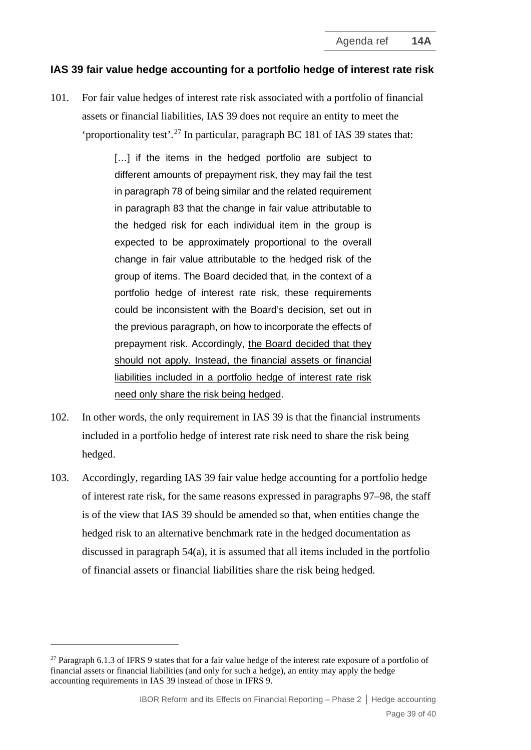#### **IAS 39 fair value hedge accounting for a portfolio hedge of interest rate risk**

<span id="page-38-0"></span>101. For fair value hedges of interest rate risk associated with a portfolio of financial assets or financial liabilities, IAS 39 does not require an entity to meet the 'proportionality test'.<sup>[27](#page-38-2)</sup> In particular, paragraph BC 181 of IAS 39 states that:

> [...] if the items in the hedged portfolio are subject to different amounts of prepayment risk, they may fail the test in paragraph 78 of being similar and the related requirement in paragraph 83 that the change in fair value attributable to the hedged risk for each individual item in the group is expected to be approximately proportional to the overall change in fair value attributable to the hedged risk of the group of items. The Board decided that, in the context of a portfolio hedge of interest rate risk, these requirements could be inconsistent with the Board's decision, set out in the previous paragraph, on how to incorporate the effects of prepayment risk. Accordingly, the Board decided that they should not apply. Instead, the financial assets or financial liabilities included in a portfolio hedge of interest rate risk need only share the risk being hedged.

- 102. In other words, the only requirement in IAS 39 is that the financial instruments included in a portfolio hedge of interest rate risk need to share the risk being hedged.
- <span id="page-38-1"></span>103. Accordingly, regarding IAS 39 fair value hedge accounting for a portfolio hedge of interest rate risk, for the same reasons expressed in paragraphs 97–98, the staff is of the view that IAS 39 should be amended so that, when entities change the hedged risk to an alternative benchmark rate in the hedged documentation as discussed in paragraph 54(a), it is assumed that all items included in the portfolio of financial assets or financial liabilities share the risk being hedged.

<span id="page-38-2"></span><sup>&</sup>lt;sup>27</sup> Paragraph 6.1.3 of IFRS 9 states that for a fair value hedge of the interest rate exposure of a portfolio of financial assets or financial liabilities (and only for such a hedge), an entity may apply the hedge accounting requirements in IAS 39 instead of those in IFRS 9.